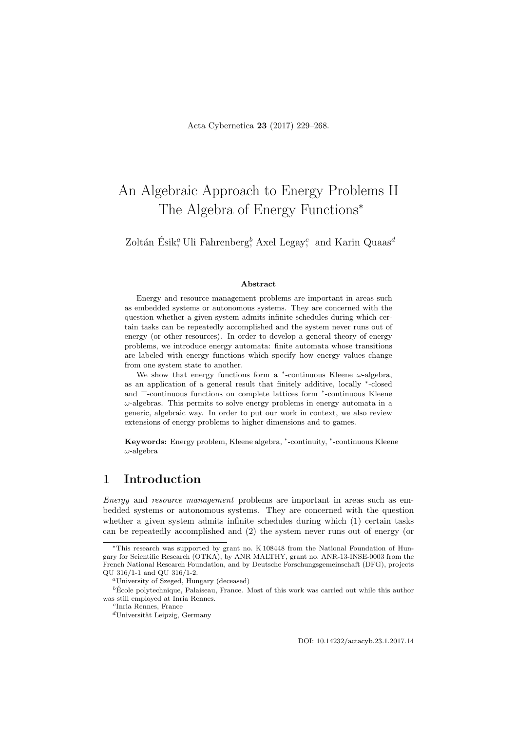# An Algebraic Approach to Energy Problems II The Algebra of Energy Functions<sup>\*</sup>

Zoltán Ésik,<sup>a</sup> Uli Fahrenberg,<sup>b</sup> Axel Legay; and Karin Quaas<sup>d</sup>

### Abstract

Energy and resource management problems are important in areas such as embedded systems or autonomous systems. They are concerned with the question whether a given system admits infinite schedules during which certain tasks can be repeatedly accomplished and the system never runs out of energy (or other resources). In order to develop a general theory of energy problems, we introduce energy automata: finite automata whose transitions are labeled with energy functions which specify how energy values change from one system state to another.

We show that energy functions form a  $*$ -continuous Kleene  $\omega$ -algebra, as an application of a general result that finitely additive, locally \*-closed and ⊤-continuous functions on complete lattices form \*-continuous Kleene  $\omega$ -algebras. This permits to solve energy problems in energy automata in a generic, algebraic way. In order to put our work in context, we also review extensions of energy problems to higher dimensions and to games.

Keywords: Energy problem, Kleene algebra, \*-continuity, \*-continuous Kleene  $\omega$ -algebra

## 1 Introduction

Energy and resource management problems are important in areas such as embedded systems or autonomous systems. They are concerned with the question whether a given system admits infinite schedules during which (1) certain tasks can be repeatedly accomplished and (2) the system never runs out of energy (or

DOI: 10.14232/actacyb.23.1.2017.14

<sup>∗</sup>This research was supported by grant no. K 108448 from the National Foundation of Hungary for Scientific Research (OTKA), by ANR MALTHY, grant no. ANR-13-INSE-0003 from the French National Research Foundation, and by Deutsche Forschungsgemeinschaft (DFG), projects QU 316/1-1 and QU 316/1-2.

<sup>a</sup>University of Szeged, Hungary (deceased)

 $\overline{b}$  Ecole polytechnique, Palaiseau, France. Most of this work was carried out while this author was still employed at Inria Rennes.

c Inria Rennes, France

 $d$ Universität Leipzig, Germany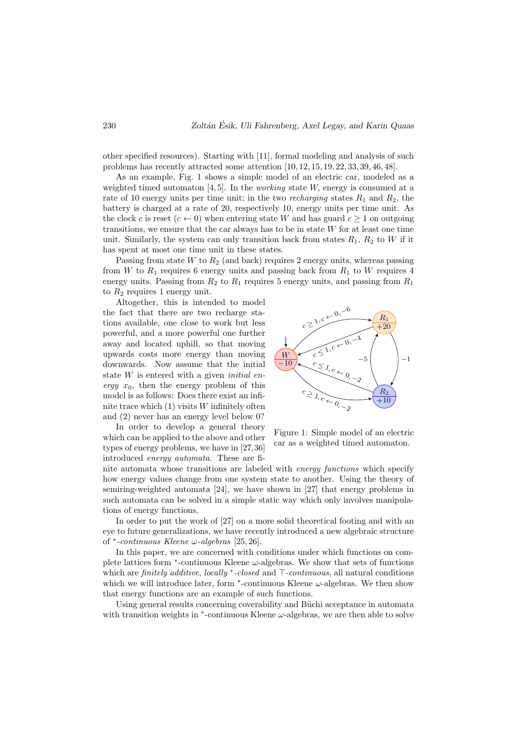other specified resources). Starting with [11], formal modeling and analysis of such problems has recently attracted some attention [10, 12, 15, 19, 22, 33, 39, 46, 48].

As an example, Fig. 1 shows a simple model of an electric car, modeled as a weighted timed automaton [4, 5]. In the *working* state W, energy is consumed at a rate of 10 energy units per time unit; in the two *recharging* states  $R_1$  and  $R_2$ , the battery is charged at a rate of 20, respectively 10, energy units per time unit. As the clock c is reset  $(c \leftarrow 0)$  when entering state W and has guard  $c \geq 1$  on outgoing transitions, we ensure that the car always has to be in state W for at least one time unit. Similarly, the system can only transition back from states  $R_1, R_2$  to W if it has spent at most one time unit in these states.

Passing from state W to  $R_2$  (and back) requires 2 energy units, whereas passing from W to  $R_1$  requires 6 energy units and passing back from  $R_1$  to W requires 4 energy units. Passing from  $R_2$  to  $R_1$  requires 5 energy units, and passing from  $R_1$ to  $R_2$  requires 1 energy unit.

Altogether, this is intended to model the fact that there are two recharge stations available, one close to work but less powerful, and a more powerful one further away and located uphill, so that moving upwards costs more energy than moving downwards. Now assume that the initial state  $W$  is entered with a given *initial en*ergy  $x_0$ , then the energy problem of this model is as follows: Does there exist an infinite trace which  $(1)$  visits W infinitely often and (2) never has an energy level below 0?

In order to develop a general theory which can be applied to the above and other types of energy problems, we have in [27,36] introduced energy automata. These are fi-



Figure 1: Simple model of an electric car as a weighted timed automaton.

nite automata whose transitions are labeled with energy functions which specify how energy values change from one system state to another. Using the theory of semiring-weighted automata [24], we have shown in [27] that energy problems in such automata can be solved in a simple static way which only involves manipulations of energy functions.

In order to put the work of  $[27]$  on a more solid theoretical footing and with an eye to future generalizations, we have recently introduced a new algebraic structure of <sup>∗</sup> -continuous Kleene ω-algebras [25, 26].

In this paper, we are concerned with conditions under which functions on complete lattices form  $*$ -continuous Kleene  $\omega$ -algebras. We show that sets of functions which are *finitely additive*, *locally*  $*$ -*closed* and  $\top$ -*continuous*, all natural conditions which we will introduce later, form  $*$ -continuous Kleene  $\omega$ -algebras. We then show that energy functions are an example of such functions.

Using general results concerning coverability and Büchi acceptance in automata with transition weights in  $*$ -continuous Kleene  $\omega$ -algebras, we are then able to solve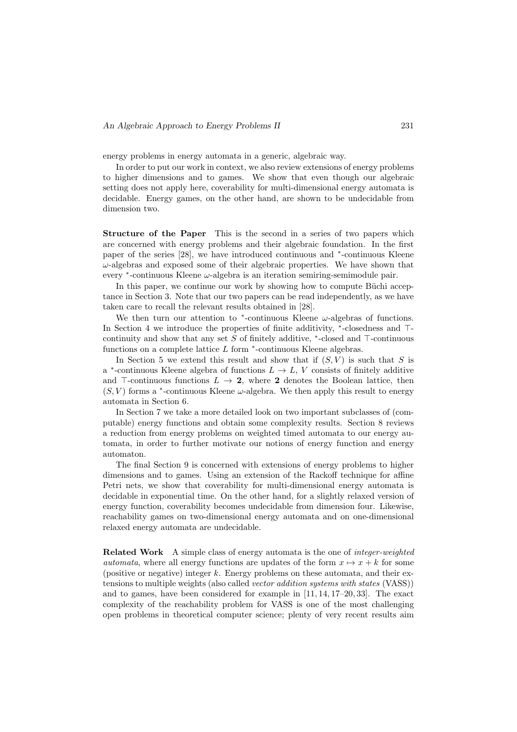energy problems in energy automata in a generic, algebraic way.

In order to put our work in context, we also review extensions of energy problems to higher dimensions and to games. We show that even though our algebraic setting does not apply here, coverability for multi-dimensional energy automata is decidable. Energy games, on the other hand, are shown to be undecidable from dimension two.

Structure of the Paper This is the second in a series of two papers which are concerned with energy problems and their algebraic foundation. In the first paper of the series [28], we have introduced continuous and <sup>∗</sup>-continuous Kleene  $\omega$ -algebras and exposed some of their algebraic properties. We have shown that every <sup>∗</sup> -continuous Kleene ω-algebra is an iteration semiring-semimodule pair.

In this paper, we continue our work by showing how to compute Büchi acceptance in Section 3. Note that our two papers can be read independently, as we have taken care to recall the relevant results obtained in [28].

We then turn our attention to  $*$ -continuous Kleene  $\omega$ -algebras of functions. In Section 4 we introduce the properties of finite additivity, \*-closedness and ⊤continuity and show that any set  $S$  of finitely additive,  $*$ -closed and  $\top$ -continuous functions on a complete lattice  $L$  form  $*$ -continuous Kleene algebras.

In Section 5 we extend this result and show that if  $(S, V)$  is such that S is a <sup>\*</sup>-continuous Kleene algebra of functions  $L \to L$ , V consists of finitely additive and  $\top$ -continuous functions  $L \to 2$ , where 2 denotes the Boolean lattice, then  $(S, V)$  forms a <sup>\*</sup>-continuous Kleene  $\omega$ -algebra. We then apply this result to energy automata in Section 6.

In Section 7 we take a more detailed look on two important subclasses of (computable) energy functions and obtain some complexity results. Section 8 reviews a reduction from energy problems on weighted timed automata to our energy automata, in order to further motivate our notions of energy function and energy automaton.

The final Section 9 is concerned with extensions of energy problems to higher dimensions and to games. Using an extension of the Rackoff technique for affine Petri nets, we show that coverability for multi-dimensional energy automata is decidable in exponential time. On the other hand, for a slightly relaxed version of energy function, coverability becomes undecidable from dimension four. Likewise, reachability games on two-dimensional energy automata and on one-dimensional relaxed energy automata are undecidable.

Related Work A simple class of energy automata is the one of integer-weighted *automata*, where all energy functions are updates of the form  $x \mapsto x + k$  for some (positive or negative) integer  $k$ . Energy problems on these automata, and their extensions to multiple weights (also called *vector addition systems with states* (VASS)) and to games, have been considered for example in [11, 14, 17–20, 33]. The exact complexity of the reachability problem for VASS is one of the most challenging open problems in theoretical computer science; plenty of very recent results aim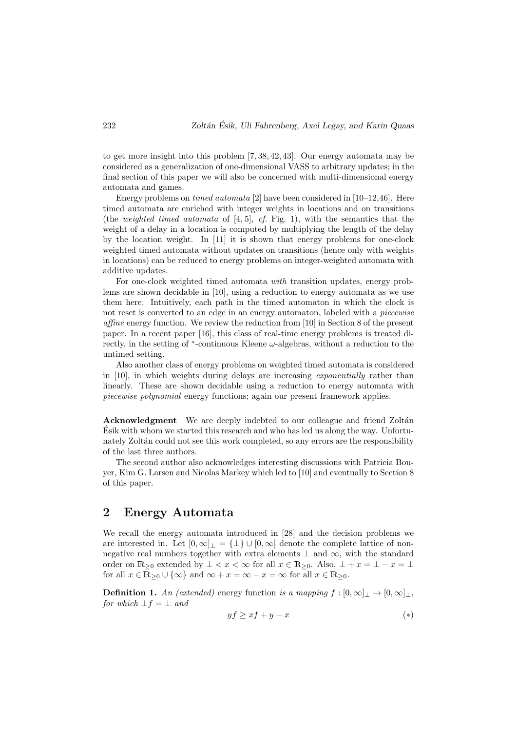to get more insight into this problem [7, 38, 42, 43]. Our energy automata may be considered as a generalization of one-dimensional VASS to arbitrary updates; in the final section of this paper we will also be concerned with multi-dimensional energy automata and games.

Energy problems on timed automata [2] have been considered in [10–12,46]. Here timed automata are enriched with integer weights in locations and on transitions (the *weighted timed automata* of [4, 5], *cf.* Fig. 1), with the semantics that the weight of a delay in a location is computed by multiplying the length of the delay by the location weight. In [11] it is shown that energy problems for one-clock weighted timed automata without updates on transitions (hence only with weights in locations) can be reduced to energy problems on integer-weighted automata with additive updates.

For one-clock weighted timed automata with transition updates, energy problems are shown decidable in [10], using a reduction to energy automata as we use them here. Intuitively, each path in the timed automaton in which the clock is not reset is converted to an edge in an energy automaton, labeled with a *piecewise* affine energy function. We review the reduction from [10] in Section 8 of the present paper. In a recent paper [16], this class of real-time energy problems is treated directly, in the setting of  $*$ -continuous Kleene  $\omega$ -algebras, without a reduction to the untimed setting.

Also another class of energy problems on weighted timed automata is considered in [10], in which weights during delays are increasing exponentially rather than linearly. These are shown decidable using a reduction to energy automata with piecewise polynomial energy functions; again our present framework applies.

Acknowledgment We are deeply indebted to our colleague and friend Zoltán Esik with whom we started this research and who has led us along the way. Unfortu- ´ nately Zoltán could not see this work completed, so any errors are the responsibility of the last three authors.

The second author also acknowledges interesting discussions with Patricia Bouyer, Kim G. Larsen and Nicolas Markey which led to [10] and eventually to Section 8 of this paper.

## 2 Energy Automata

We recall the energy automata introduced in [28] and the decision problems we are interested in. Let  $[0,\infty]$ <sub>⊥</sub> =  $\{\perp\}$  ∪  $[0,\infty]$  denote the complete lattice of nonnegative real numbers together with extra elements  $\perp$  and  $\infty$ , with the standard order on  $\mathbb{R}_{\geq 0}$  extended by  $\bot < x < \infty$  for all  $x \in \mathbb{R}_{\geq 0}$ . Also,  $\bot + x = \bot - x = \bot$ for all  $x \in \overline{\mathbb{R}} > 0 \cup \{\infty\}$  and  $\infty + x = \infty - x = \infty$  for all  $x \in \mathbb{R} > 0$ .

**Definition 1.** An (extended) energy function is a mapping  $f : [0, \infty]_{\perp} \to [0, \infty]_{\perp}$ , for which  $\bot f = \bot$  and

$$
yf \ge xf + y - x \tag{*}
$$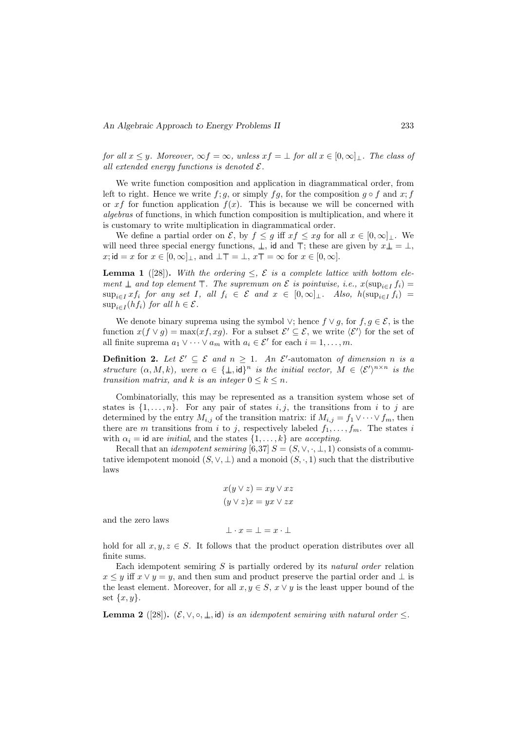for all  $x \leq y$ . Moreover,  $\infty f = \infty$ , unless  $xf = \bot$  for all  $x \in [0, \infty]_{\bot}$ . The class of all extended energy functions is denoted  $\mathcal{E}.$ 

We write function composition and application in diagrammatical order, from left to right. Hence we write  $f$ ; g, or simply  $fg$ , for the composition  $g \circ f$  and  $x$ ; f or x f for function application  $f(x)$ . This is because we will be concerned with algebras of functions, in which function composition is multiplication, and where it is customary to write multiplication in diagrammatical order.

We define a partial order on  $\mathcal{E}$ , by  $f \leq g$  iff  $xf \leq xg$  for all  $x \in [0,\infty]_{\perp}$ . We will need three special energy functions,  $\bot$ , id and  $\top$ ; these are given by  $x\bot = \bot$ , x; id = x for  $x \in [0, \infty]_+$ , and  $\bot \top = \bot$ ,  $x \top = \infty$  for  $x \in [0, \infty]$ .

**Lemma 1** ([28]). With the ordering  $\leq$ ,  $\mathcal{E}$  is a complete lattice with bottom element  $\perp$  and top element  $\top$ . The supremum on  $\mathcal E$  is pointwise, i.e.,  $x(\sup_{i \in I} f_i) =$  $\sup_{i\in I} xf_i$  for any set I, all  $f_i \in \mathcal{E}$  and  $x \in [0,\infty]_+$ . Also,  $h(\sup_{i\in I} f_i) =$  $\sup_{i\in I}(hf_i)$  for all  $h\in \mathcal{E}$ .

We denote binary suprema using the symbol  $\vee$ ; hence  $f \vee g$ , for  $f, g \in \mathcal{E}$ , is the function  $x(f \vee g) = \max(xf, xg)$ . For a subset  $\mathcal{E}' \subseteq \mathcal{E}$ , we write  $\langle \mathcal{E}' \rangle$  for the set of all finite suprema  $a_1 \vee \cdots \vee a_m$  with  $a_i \in \mathcal{E}'$  for each  $i = 1, \ldots, m$ .

**Definition 2.** Let  $\mathcal{E}' \subseteq \mathcal{E}$  and  $n \geq 1$ . An  $\mathcal{E}'$ -automaton of dimension n is a structure  $(\alpha, M, k)$ , were  $\alpha \in {\{\pm, \mathrm{id}\}}^n$  is the initial vector,  $M \in \langle \mathcal{E}' \rangle^{n \times n}$  is the transition matrix, and k is an integer  $0 \leq k \leq n$ .

Combinatorially, this may be represented as a transition system whose set of states is  $\{1, \ldots, n\}$ . For any pair of states i, j, the transitions from i to j are determined by the entry  $M_{i,j}$  of the transition matrix: if  $M_{i,j} = f_1 \vee \cdots \vee f_m$ , then there are m transitions from i to j, respectively labeled  $f_1, \ldots, f_m$ . The states i with  $\alpha_i = \text{id}$  are *initial*, and the states  $\{1, \ldots, k\}$  are *accepting*.

Recall that an *idempotent semiring* [6,37]  $S = (S, \vee, \cdot, \bot, 1)$  consists of a commutative idempotent monoid  $(S, \vee, \perp)$  and a monoid  $(S, \cdot, 1)$  such that the distributive laws

$$
x(y \lor z) = xy \lor xz
$$

$$
(y \lor z)x = yx \lor zx
$$

and the zero laws

hold for all  $x, y, z \in S$ . It follows that the product operation distributes over all finite sums.

 $\bot \cdot x = \bot = x \cdot \bot$ 

Each idempotent semiring  $S$  is partially ordered by its natural order relation  $x \leq y$  iff  $x \vee y = y$ , and then sum and product preserve the partial order and  $\perp$  is the least element. Moreover, for all  $x, y \in S$ ,  $x \vee y$  is the least upper bound of the set  $\{x, y\}.$ 

**Lemma 2** ([28]).  $(\mathcal{E}, \vee, \circ, \perp, id)$  is an idempotent semiring with natural order  $\leq$ .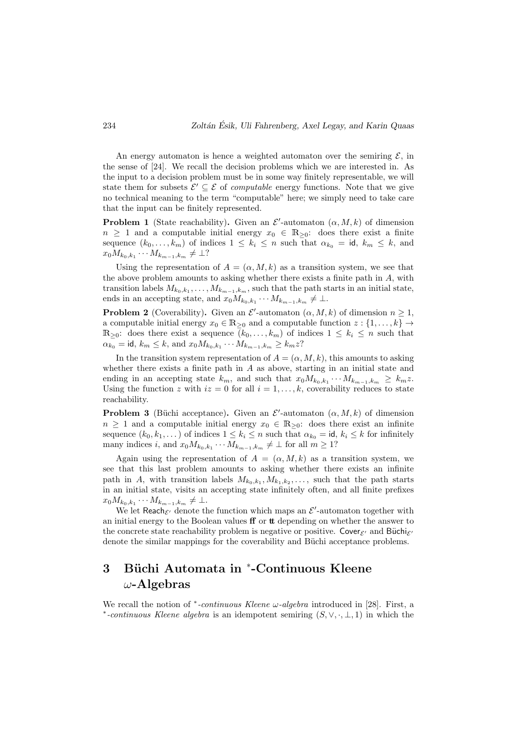An energy automaton is hence a weighted automaton over the semiring  $\mathcal{E}$ , in the sense of [24]. We recall the decision problems which we are interested in. As the input to a decision problem must be in some way finitely representable, we will state them for subsets  $\mathcal{E}' \subseteq \mathcal{E}$  of *computable* energy functions. Note that we give no technical meaning to the term "computable" here; we simply need to take care that the input can be finitely represented.

**Problem 1** (State reachability). Given an  $\mathcal{E}'$ -automaton  $(\alpha, M, k)$  of dimension  $n \geq 1$  and a computable initial energy  $x_0 \in \mathbb{R}_{\geq 0}$ : does there exist a finite sequence  $(k_0, \ldots, k_m)$  of indices  $1 \leq k_i \leq n$  such that  $\alpha_{k_0} = \text{id}, k_m \leq k$ , and  $x_0 M_{k_0, k_1} \cdots M_{k_{m-1}, k_m} \neq \bot?$ 

Using the representation of  $A = (\alpha, M, k)$  as a transition system, we see that the above problem amounts to asking whether there exists a finite path in  $A$ , with transition labels  $M_{k_0,k_1}, \ldots, M_{k_{m-1},k_m}$ , such that the path starts in an initial state, ends in an accepting state, and  $x_0 M_{k_0, k_1} \cdots M_{k_{m-1}, k_m} \neq \perp$ .

**Problem 2** (Coverability). Given an  $\mathcal{E}'$ -automaton  $(\alpha, M, k)$  of dimension  $n \geq 1$ , a computable initial energy  $x_0 \in \mathbb{R}_{\geq 0}$  and a computable function  $z : \{1, \ldots, k\} \rightarrow$  $\mathbb{R}_{\geq 0}$ : does there exist a sequence  $(k_0, \ldots, k_m)$  of indices  $1 \leq k_i \leq n$  such that  $\alpha_{k_0} = \textsf{id}, \, k_m \leq k, \, \text{and} \, x_0 M_{k_0, k_1} \cdots M_{k_{m-1}, k_m} \geq k_m z?$ 

In the transition system representation of  $A = (\alpha, M, k)$ , this amounts to asking whether there exists a finite path in  $A$  as above, starting in an initial state and ending in an accepting state  $k_m$ , and such that  $x_0 M_{k_0, k_1} \cdots M_{k_{m-1}, k_m} \geq k_m z$ . Using the function z with  $iz = 0$  for all  $i = 1, \ldots, k$ , coverability reduces to state reachability.

**Problem 3** (Büchi acceptance). Given an  $\mathcal{E}'$ -automaton  $(\alpha, M, k)$  of dimension  $n \geq 1$  and a computable initial energy  $x_0 \in \mathbb{R}_{\geq 0}$ : does there exist an infinite sequence  $(k_0, k_1, \dots)$  of indices  $1 \leq k_i \leq n$  such that  $\alpha_{k_0} = \text{id}, k_i \leq k$  for infinitely many indices i, and  $x_0 M_{k_0, k_1} \cdots M_{k_{m-1}, k_m} \neq \perp$  for all  $m \geq 1$ ?

Again using the representation of  $A = (\alpha, M, k)$  as a transition system, we see that this last problem amounts to asking whether there exists an infinite path in A, with transition labels  $M_{k_0,k_1}, M_{k_1,k_2}, \ldots$ , such that the path starts in an initial state, visits an accepting state infinitely often, and all finite prefixes  $x_0 M_{k_0, k_1} \cdots M_{k_{m-1}, k_m} \neq \bot.$ 

We let Reach $\varepsilon$  denote the function which maps an  $\mathcal{E}'$ -automaton together with an initial energy to the Boolean values  $\mathbf f$  or  $\mathbf t$  depending on whether the answer to the concrete state reachability problem is negative or positive. Cover $\varepsilon$  and Büchi $\varepsilon$ denote the similar mappings for the coverability and Büchi acceptance problems.

# 3 Büchi Automata in \*-Continuous Kleene  $\omega$ -Algebras

We recall the notion of  $*$ -continuous Kleene  $\omega$ -algebra introduced in [28]. First, a \*-continuous Kleene algebra is an idempotent semiring  $(S, \vee, \cdot, \bot, 1)$  in which the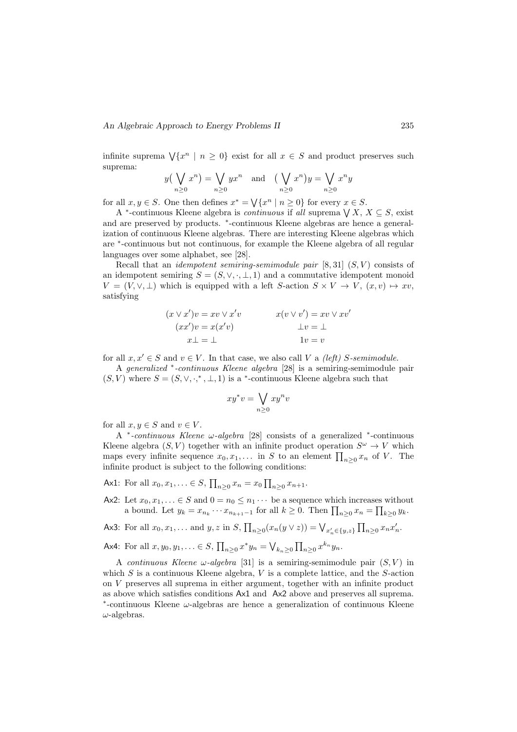infinite suprema  $\forall \{x^n \mid n \geq 0\}$  exist for all  $x \in S$  and product preserves such suprema:

$$
y(\bigvee_{n\geq 0} x^n) = \bigvee_{n\geq 0} yx^n \text{ and } (\bigvee_{n\geq 0} x^n) y = \bigvee_{n\geq 0} x^n y
$$

for all  $x, y \in S$ . One then defines  $x^* = \sqrt{x^n \mid n \ge 0}$  for every  $x \in S$ .

A <sup>\*</sup>-continuous Kleene algebra is *continuous* if all suprema  $\bigvee X, X \subseteq S$ , exist and are preserved by products. \*-continuous Kleene algebras are hence a generalization of continuous Kleene algebras. There are interesting Kleene algebras which are <sup>∗</sup> -continuous but not continuous, for example the Kleene algebra of all regular languages over some alphabet, see [28].

Recall that an *idempotent semiring-semimodule pair*  $[8, 31]$   $(S, V)$  consists of an idempotent semiring  $S = (S, \vee, \cdot, \bot, 1)$  and a commutative idempotent monoid  $V = (V, \vee, \perp)$  which is equipped with a left S-action  $S \times V \to V$ ,  $(x, v) \mapsto xv$ , satisfying

$$
(x \lor x')v = xv \lor x'v
$$
  
\n
$$
(xx')v = x(x'v)
$$
  
\n
$$
x \perp = \perp
$$
  
\n
$$
x(v \lor v') = xv \lor xv'
$$
  
\n
$$
\perp v = \perp
$$
  
\n
$$
1v = v
$$

for all  $x, x' \in S$  and  $v \in V$ . In that case, we also call V a *(left)* S-semimodule.

A generalized <sup>∗</sup> -continuous Kleene algebra [28] is a semiring-semimodule pair  $(S, V)$  where  $S = (S, \vee, \cdot,^*, \bot, 1)$  is a \*-continuous Kleene algebra such that

$$
xy^*v = \bigvee_{n\geq 0} xy^n v
$$

for all  $x, y \in S$  and  $y \in V$ .

A <sup>∗</sup> -continuous Kleene ω-algebra [28] consists of a generalized <sup>∗</sup> -continuous Kleene algebra  $(S, V)$  together with an infinite product operation  $S^{\omega} \to V$  which maps every infinite sequence  $x_0, x_1, \ldots$  in S to an element  $\prod_{n\geq 0} x_n$  of V. The infinite product is subject to the following conditions:

Ax1: For all  $x_0, x_1, \ldots \in S$ ,  $\prod_{n\geq 0} x_n = x_0 \prod_{n\geq 0} x_{n+1}$ .

- Ax2: Let  $x_0, x_1, \ldots \in S$  and  $0 = n_0 \leq n_1 \cdots$  be a sequence which increases without a bound. Let  $y_k = x_{n_k} \cdots x_{n_{k+1}-1}$  for all  $k \geq 0$ . Then  $\prod_{n \geq 0} x_n = \prod_{k \geq 0} y_k$ .
- Ax3: For all  $x_0, x_1, ...$  and  $y, z$  in  $S, \prod_{n\geq 0} (x_n(y \vee z)) = \bigvee_{x'_n \in \{y, z\}} \prod_{n\geq 0} x_n x'_n$ .
- Ax4: For all  $x, y_0, y_1, ... \in S$ ,  $\prod_{n\geq 0} x^* y_n = \bigvee_{k_n \geq 0} \prod_{n\geq 0} x^{k_n} y_n$ .

A continuous Kleene  $\omega$ -algebra [31] is a semiring-semimodule pair  $(S, V)$  in which  $S$  is a continuous Kleene algebra,  $V$  is a complete lattice, and the  $S$ -action on V preserves all suprema in either argument, together with an infinite product as above which satisfies conditions Ax1 and Ax2 above and preserves all suprema. ∗ -continuous Kleene ω-algebras are hence a generalization of continuous Kleene  $\omega$ -algebras.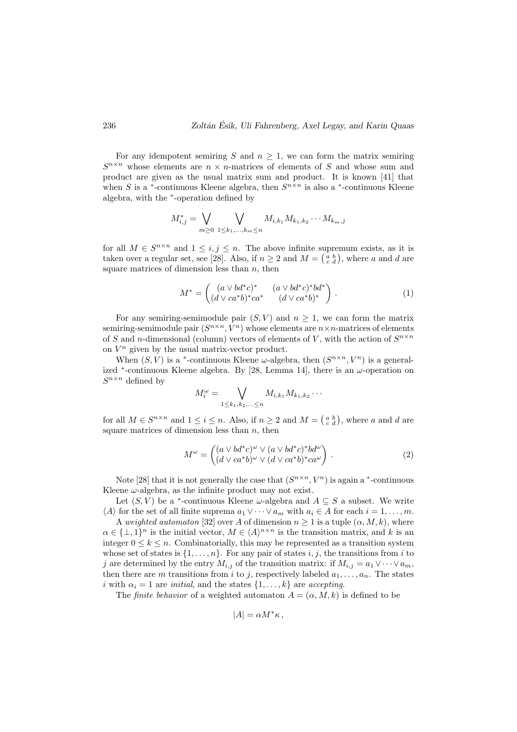For any idempotent semiring S and  $n \geq 1$ , we can form the matrix semiring  $S^{n \times n}$  whose elements are  $n \times n$ -matrices of elements of S and whose sum and product are given as the usual matrix sum and product. It is known [41] that when S is a <sup>\*</sup>-continuous Kleene algebra, then  $S^{n \times n}$  is also a <sup>\*</sup>-continuous Kleene algebra, with the <sup>∗</sup> -operation defined by

$$
M_{i,j}^* = \bigvee_{m \ge 0} \bigvee_{1 \le k_1, \dots, k_m \le n} M_{i,k_1} M_{k_1,k_2} \cdots M_{k_m,j}
$$

for all  $M \in S^{n \times n}$  and  $1 \leq i, j \leq n$ . The above infinite supremum exists, as it is taken over a regular set, see [28]. Also, if  $n \geq 2$  and  $M = \begin{pmatrix} a & b \\ c & d \end{pmatrix}$ , where a and d are square matrices of dimension less than  $n$ , then

$$
M^* = \begin{pmatrix} (a \vee bd^*c)^* & (a \vee bd^*c)^*bd^* \\ (d \vee ca^*b)^*ca^* & (d \vee ca^*b)^* \end{pmatrix} . \tag{1}
$$

For any semiring-semimodule pair  $(S, V)$  and  $n \geq 1$ , we can form the matrix semiring-semimodule pair  $(S^{n \times n}, V^n)$  whose elements are  $n \times n$ -matrices of elements of S and n-dimensional (column) vectors of elements of V, with the action of  $S^{n \times n}$ on  $V^n$  given by the usual matrix-vector product.

When  $(S, V)$  is a <sup>\*</sup>-continuous Kleene  $\omega$ -algebra, then  $(S^{n \times n}, V^n)$  is a generalized  $*$ -continuous Kleene algebra. By [28, Lemma 14], there is an  $\omega$ -operation on  $S^{n \times n}$  defined by

$$
M_i^{\omega} = \bigvee_{1 \leq k_1, k_2, \ldots \leq n} M_{i,k_1} M_{k_1,k_2} \cdots
$$

for all  $M \in S^{n \times n}$  and  $1 \leq i \leq n$ . Also, if  $n \geq 2$  and  $M = \begin{pmatrix} a & b \\ c & d \end{pmatrix}$ , where a and d are square matrices of dimension less than  $n$ , then

$$
M^{\omega} = \begin{pmatrix} (a \lor bd^*c)^{\omega} \lor (a \lor bd^*c)^*bd^{\omega} \\ (d \lor ca^*b)^{\omega} \lor (d \lor ca^*b)^*ca^{\omega} \end{pmatrix} . \tag{2}
$$

Note [28] that it is not generally the case that  $(S^{n \times n}, V^n)$  is again a  $*$ -continuous Kleene  $\omega$ -algebra, as the infinite product may not exist.

Let  $(S, V)$  be a <sup>\*</sup>-continuous Kleene  $\omega$ -algebra and  $A \subseteq S$  a subset. We write  $\langle A \rangle$  for the set of all finite suprema  $a_1 \vee \cdots \vee a_m$  with  $a_i \in A$  for each  $i = 1, \ldots, m$ .

A weighted automaton [32] over A of dimension  $n \geq 1$  is a tuple  $(\alpha, M, k)$ , where  $\alpha \in {\{\perp,1\}}^n$  is the initial vector,  $M \in \langle A \rangle^{n \times n}$  is the transition matrix, and k is an integer  $0 \leq k \leq n$ . Combinatorially, this may be represented as a transition system whose set of states is  $\{1, \ldots, n\}$ . For any pair of states i, j, the transitions from i to j are determined by the entry  $M_{i,j}$  of the transition matrix: if  $M_{i,j} = a_1 \vee \cdots \vee a_m$ , then there are m transitions from i to j, respectively labeled  $a_1, \ldots, a_n$ . The states i with  $\alpha_i = 1$  are initial, and the states  $\{1, \ldots, k\}$  are accepting.

The *finite behavior* of a weighted automaton  $A = (\alpha, M, k)$  is defined to be

$$
|A| = \alpha M^* \kappa \,,
$$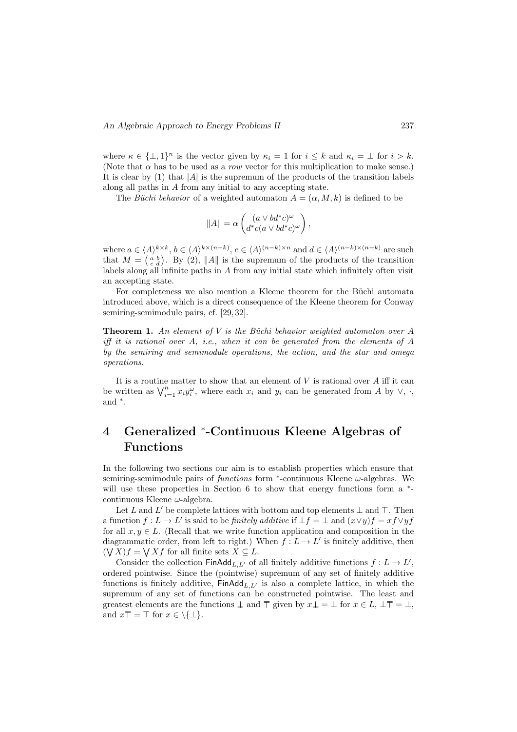where  $\kappa \in {\{\perp,1\}}^n$  is the vector given by  $\kappa_i = 1$  for  $i \leq k$  and  $\kappa_i = \perp$  for  $i > k$ . (Note that  $\alpha$  has to be used as a row vector for this multiplication to make sense.) It is clear by  $(1)$  that  $|A|$  is the supremum of the products of the transition labels along all paths in A from any initial to any accepting state.

The Büchi behavior of a weighted automaton  $A = (\alpha, M, k)$  is defined to be

$$
||A|| = \alpha \begin{pmatrix} (a \vee bd^*c)^\omega \\ d^*c(a \vee bd^*c)^\omega \end{pmatrix},
$$

where  $a \in \langle A \rangle^{k \times k}, b \in \langle A \rangle^{k \times (n-k)}, c \in \langle A \rangle^{(n-k) \times n}$  and  $d \in \langle A \rangle^{(n-k) \times (n-k)}$  are such that  $M = \begin{pmatrix} a & b \\ c & d \end{pmatrix}$ . By (2), ||A|| is the supremum of the products of the transition labels along all infinite paths in A from any initial state which infinitely often visit an accepting state.

For completeness we also mention a Kleene theorem for the Büchi automata introduced above, which is a direct consequence of the Kleene theorem for Conway semiring-semimodule pairs, cf. [29, 32].

**Theorem 1.** An element of  $V$  is the Büchi behavior weighted automaton over  $A$ iff it is rational over A, i.e., when it can be generated from the elements of A by the semiring and semimodule operations, the action, and the star and omega operations.

It is a routine matter to show that an element of  $V$  is rational over  $A$  iff it can be written as  $\bigvee_{i=1}^{n} x_i y_i^{\omega}$ , where each  $x_i$  and  $y_i$  can be generated from A by  $\vee$ ,  $\cdot$ , and <sup>∗</sup> .

# 4 Generalized \*-Continuous Kleene Algebras of Functions

In the following two sections our aim is to establish properties which ensure that semiring-semimodule pairs of  $functions$  form  $*$ -continuous Kleene  $\omega$ -algebras. We will use these properties in Section 6 to show that energy functions form a  $*$ continuous Kleene  $\omega$ -algebra.

Let L and L' be complete lattices with bottom and top elements  $\perp$  and  $\top$ . Then a function  $f: L \to L'$  is said to be *finitely additive* if  $\bot f = \bot$  and  $(x \vee y)f = xf \vee yf$ for all  $x, y \in L$ . (Recall that we write function application and composition in the diagrammatic order, from left to right.) When  $f: L \to L'$  is finitely additive, then  $(\bigvee X)f = \bigvee Xf$  for all finite sets  $X \subseteq L$ .

Consider the collection  $\mathsf{FinAdd}_{L,L'}$  of all finitely additive functions  $f: L \to L'$ , ordered pointwise. Since the (pointwise) supremum of any set of finitely additive functions is finitely additive,  $\text{FinAdd}_{L,L'}$  is also a complete lattice, in which the supremum of any set of functions can be constructed pointwise. The least and greatest elements are the functions  $\perp$  and  $\pm$  given by  $x \perp = \perp$  for  $x \in L$ ,  $\perp \pm = \perp$ . and  $x\overline{T} = \overline{T}$  for  $x \in \setminus \{\perp\}.$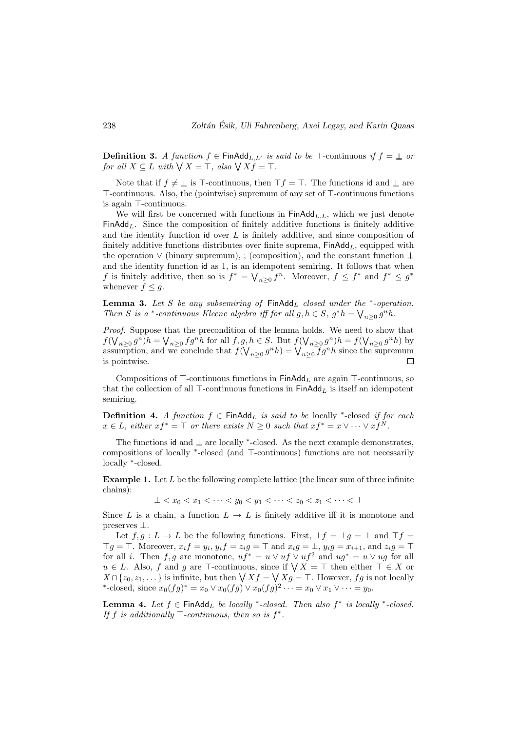**Definition 3.** A function  $f \in \text{FinAdd}_{L,L}$  is said to be  $\top$ -continuous if  $f = \bot$  or for all  $X \subseteq L$  with  $\bigvee X = \top$ , also  $\bigvee X f = \top$ .

Note that if  $f \neq \bot$  is  $\top$ -continuous, then  $\top f = \top$ . The functions id and  $\bot$  are  $\top$ -continuous. Also, the (pointwise) supremum of any set of  $\top$ -continuous functions is again  $\top$ -continuous.

We will first be concerned with functions in  $\mathsf{FinAdd}_{L,L}$ , which we just denote FinAdd<sub>L</sub>. Since the composition of finitely additive functions is finitely additive and the identity function  $id$  over  $L$  is finitely additive, and since composition of finitely additive functions distributes over finite suprema,  $\mathsf{Finddd}_{L}$ , equipped with the operation ∨ (binary supremum), ; (composition), and the constant function ⊥ and the identity function id as 1, is an idempotent semiring. It follows that when f is finitely additive, then so is  $f^* = \bigvee_{n \geq 0} f^n$ . Moreover,  $f \leq f^*$  and  $f^* \leq g^*$ whenever  $f \leq g$ .

**Lemma 3.** Let S be any subsemiring of  $\text{FinAdd}_L$  closed under the  $*$ -operation. Then S is a \*-continuous Kleene algebra iff for all  $g, h \in S$ ,  $g^*h = \bigvee_{n \geq 0} g^n h$ .

Proof. Suppose that the precondition of the lemma holds. We need to show that  $f(\bigvee_{n\geq 0} g^n)h = \bigvee_{n\geq 0} fg^n h$  for all  $f, g, h \in S$ . But  $f(\bigvee_{n\geq 0} g^n)h = f(\bigvee_{n\geq 0} g^n h)$  by assumption, and we conclude that  $f(\bigvee_{n\geq 0} g^n h) = \bigvee_{n\geq 0} fg^n h$  since the supremum is pointwise.  $\Box$ 

Compositions of  $\top$ -continuous functions in FinAdd<sub>L</sub> are again  $\top$ -continuous, so that the collection of all  $\top$ -continuous functions in  $\mathsf{Fin}\mathsf{Add}_L$  is itself an idempotent semiring.

**Definition 4.** A function  $f \in \text{FinAdd}_L$  is said to be locally \*-closed if for each  $x \in L$ , either  $xf^* = \top$  or there exists  $N \geq 0$  such that  $xf^* = x \vee \cdots \vee xf^N$ .

The functions id and  $\perp$  are locally \*-closed. As the next example demonstrates, compositions of locally <sup>\*</sup>-closed (and ⊤-continuous) functions are not necessarily locally <sup>∗</sup> -closed.

**Example 1.** Let  $L$  be the following complete lattice (the linear sum of three infinite chains):

 $\perp$  <  $x_0$  <  $x_1$  <  $\cdots$  <  $y_0$  <  $y_1$  <  $\cdots$  <  $z_0$  <  $z_1$  <  $\cdots$  <  $\top$ 

Since L is a chain, a function  $L \to L$  is finitely additive iff it is monotone and preserves ⊥.

Let  $f, g: L \to L$  be the following functions. First,  $\bot f = \bot g = \bot$  and  $\top f =$  $\top g = \top$ . Moreover,  $x_i f = y_i$ ,  $y_i f = z_i g = \top$  and  $x_i g = \bot$ ,  $y_i g = x_{i+1}$ , and  $z_i g = \top$ for all *i*. Then f, g are monotone,  $uf^* = u \vee uf \vee uf^2$  and  $ug^* = u \vee ug$  for all  $u \in L$ . Also, f and g are  $\top$ -continuous, since if  $\bigvee X = \top$  then either  $\top \in X$  or  $X \cap \{z_0, z_1, \dots\}$  is infinite, but then  $\bigvee X f = \bigvee X g = \top$ . However,  $fg$  is not locally \*-closed, since  $x_0(fg)^* = x_0 \vee x_0(fg) \vee x_0(fg)^2 \cdots = x_0 \vee x_1 \vee \dots = y_0$ .

**Lemma 4.** Let  $f \in \text{FinAdd}_L$  be locally \*-closed. Then also  $f^*$  is locally \*-closed. If f is additionally  $\top$ -continuous, then so is  $f^*$ .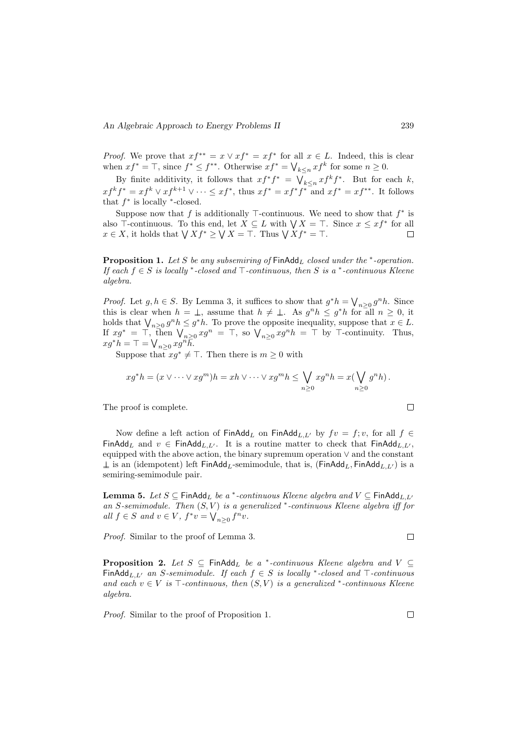*Proof.* We prove that  $xf^{**} = x \vee xf^* = xf^*$  for all  $x \in L$ . Indeed, this is clear when  $xf^* = \top$ , since  $f^* \leq f^{**}$ . Otherwise  $xf^* = \bigvee_{k \leq n} xf^k$  for some  $n \geq 0$ .

By finite additivity, it follows that  $xf^*f^* = \bigvee_{k \leq n} xf^k f^*$ . But for each k,  $xf^k f^* = xf^k \vee xf^{k+1} \vee \cdots \leq xf^*$ , thus  $xf^* = xf^*f^*$  and  $xf^* = xf^{**}$ . It follows that  $f^*$  is locally  $^*$ -closed.

Suppose now that f is additionally  $\top$ -continuous. We need to show that  $f^*$  is also  $\top$ -continuous. To this end, let  $X \subseteq L$  with  $\bigvee X = \top$ . Since  $x \leq xf^*$  for all  $x \in X$ , it holds that  $\bigvee X f^* \geq \bigvee X = \top$ . Thus  $\bigvee X f^* = \top$ .  $\Box$ 

**Proposition 1.** Let S be any subsemiring of  $\text{FinAdd}_L$  closed under the  $*$ -operation. If each  $f \in S$  is locally \*-closed and  $\top$ -continuous, then S is a \*-continuous Kleene algebra.

*Proof.* Let  $g, h \in S$ . By Lemma 3, it suffices to show that  $g^*h = \bigvee_{n \geq 0} g^n h$ . Since this is clear when  $h = \perp$ , assume that  $h \neq \perp$ . As  $g^n h \leq g^* h$  for all  $n \geq 0$ , it holds that  $\bigvee_{n\geq 0} g^n h \leq g^* h$ . To prove the opposite inequality, suppose that  $x \in L$ . If  $x g^* = \top$ , then  $\bigvee_{n \geq 0} x g^n = \top$ , so  $\bigvee_{n \geq 0} x g^n h = \top$  by  $\top$ -continuity. Thus,  $xg^*h = \top = \bigvee_{n \geq 0} xg^n\overline{h}.$ 

Suppose that  $xg^* \neq \top$ . Then there is  $m \geq 0$  with

$$
xg^*h = (x \vee \cdots \vee xg^m)h = xh \vee \cdots \vee xg^mh \leq \bigvee_{n \geq 0} xg^nh = x(\bigvee_{n \geq 0} g^nh).
$$

The proof is complete.

Now define a left action of  $\text{FinAdd}_{L}$  on  $\text{FinAdd}_{L,L'}$  by  $fv = f; v$ , for all  $f \in$ FinAdd<sub>L</sub> and  $v \in \text{FinAdd}_{L,L'}$ . It is a routine matter to check that FinAdd<sub>L,L'</sub>, equipped with the above action, the binary supremum operation ∨ and the constant  $\perp$  is an (idempotent) left FinAdd<sub>L</sub>-semimodule, that is, (FinAdd<sub>L, F</sub>inAdd<sub>L,L'</sub>) is a semiring-semimodule pair.

**Lemma 5.** Let  $S \subseteq$  FinAdd<sub>L</sub> be a \*-continuous Kleene algebra and  $V \subseteq$  FinAdd<sub>L,L</sub> an S-semimodule. Then  $(S, V)$  is a generalized  $*$ -continuous Kleene algebra iff for all  $f \in S$  and  $v \in V$ ,  $f^*v = \bigvee_{n \geq 0} f^n v$ .

Proof. Similar to the proof of Lemma 3.

**Proposition 2.** Let  $S \subseteq$  FinAdd<sub>L</sub> be a \*-continuous Kleene algebra and  $V \subseteq$ FinAdd<sub>L,L'</sub> an S-semimodule. If each  $f \in S$  is locally \*-closed and  $\top$ -continuous and each  $v \in V$  is  $\top$ -continuous, then  $(S, V)$  is a generalized \*-continuous Kleene algebra.

Proof. Similar to the proof of Proposition 1.

$$
\Box
$$

 $\Box$ 

 $\Box$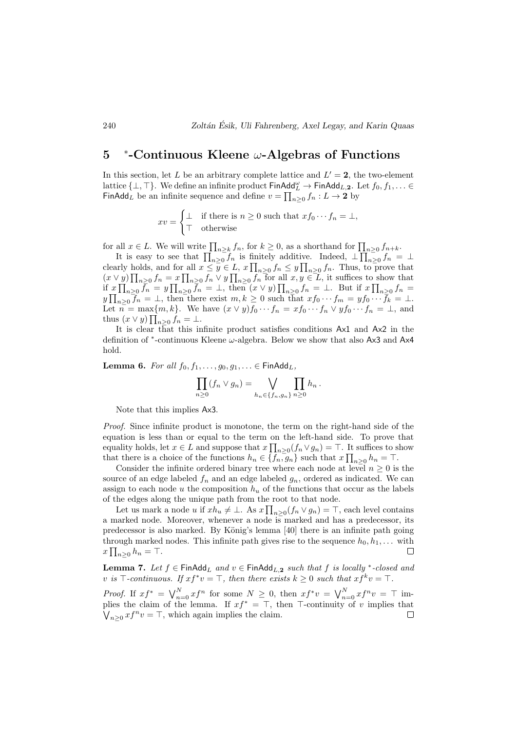#### 5 ∗ -Continuous Kleene ω-Algebras of Functions

In this section, let L be an arbitrary complete lattice and  $L' = 2$ , the two-element lattice  $\{\bot, \top\}$ . We define an infinite product  $\mathsf{FinAdd}_L \to \mathsf{FinAdd}_{L,2}$ . Let  $f_0, f_1, \ldots \in$ FinAdd<sub>L</sub> be an infinite sequence and define  $v = \prod_{n\geq 0} f_n : L \to \mathbf{2}$  by

$$
xv = \begin{cases} \bot & \text{if there is } n \ge 0 \text{ such that } x f_0 \cdots f_n = \bot, \\ \top & \text{otherwise} \end{cases}
$$

for all  $x \in L$ . We will write  $\prod_{n \geq k} f_n$ , for  $k \geq 0$ , as a shorthand for  $\prod_{n \geq 0} f_{n+k}$ .

It is easy to see that  $\prod_{n\geq 0} f_n$  is finitely additive. Indeed,  $\bot \prod_{n\geq 0} f_n = \bot$ clearly holds, and for all  $x \leq \overline{y} \in L$ ,  $x \prod_{n\geq 0} f_n \leq y \prod_{n\geq 0} f_n$ . Thus, to prove that  $(x \vee y) \prod_{n\geq 0} f_n = x \prod_{n\geq 0} f_n \vee y \prod_{n\geq 0} f_n$  for all  $x, y \in L$ , it suffices to show that if  $x \prod_{n\geq 0} \bar{f}_n = y \prod_{n\geq 0} \bar{f}_n = \bot$ , then  $(x \vee y) \prod_{n\geq 0} f_n = \bot$ . But if  $x \prod_{n\geq 0} f_n =$  $y \prod_{n\geq 0} f_n = \bot$ , then there exist  $m, k \geq 0$  such that  $xf_0 \cdots f_m = y f_0 \cdots \overline{f}_k = \bot$ . Let  $n = \max\{m, k\}$ . We have  $(x \vee y)f_0 \cdots f_n = xf_0 \cdots f_n \vee yf_0 \cdots f_n = \bot$ , and thus  $(x \vee y)$   $\prod_{n\geq 0} f_n = \bot$ .

It is clear that this infinite product satisfies conditions Ax1 and Ax2 in the definition of <sup>∗</sup>-continuous Kleene ω-algebra. Below we show that also Ax3 and Ax4 hold.

Lemma 6. For all  $f_0, f_1, \ldots, g_0, g_1, \ldots \in \mathsf{FinAdd}_L$ ,

$$
\prod_{n\geq 0} (f_n \vee g_n) = \bigvee_{h_n \in \{f_n, g_n\}} \prod_{n\geq 0} h_n.
$$

Note that this implies Ax3.

Proof. Since infinite product is monotone, the term on the right-hand side of the equation is less than or equal to the term on the left-hand side. To prove that equality holds, let  $x \in L$  and suppose that  $x \prod_{n \geq 0} (f_n \vee g_n) = \top$ . It suffices to show that there is a choice of the functions  $h_n \in \{f_n, g_n\}$  such that  $x \prod_{n \geq 0} h_n = \top$ .

Consider the infinite ordered binary tree where each node at level  $n \geq 0$  is the source of an edge labeled  $f_n$  and an edge labeled  $g_n$ , ordered as indicated. We can assign to each node u the composition  $h<sub>u</sub>$  of the functions that occur as the labels of the edges along the unique path from the root to that node.

Let us mark a node u if  $xh_u \neq \bot$ . As  $x \prod_{n\geq 0} (f_n \vee g_n) = \top$ , each level contains a marked node. Moreover, whenever a node is marked and has a predecessor, its predecessor is also marked. By König's lemma [40] there is an infinite path going through marked nodes. This infinite path gives rise to the sequence  $h_0, h_1, \ldots$  with  $x \prod_{n\geq 0} h_n = \top.$  $\Box$ 

**Lemma 7.** Let  $f \in \text{FinAdd}_L$  and  $v \in \text{FinAdd}_{L,2}$  such that f is locally \*-closed and v is  $\top$ -continuous. If  $xf^*v = \top$ , then there exists  $k \geq 0$  such that  $xf^k v = \top$ .

*Proof.* If  $xf^* = \bigvee_{n=0}^{N} xf^n$  for some  $N \geq 0$ , then  $xf^*v = \bigvee_{n=0}^{N} xf^n v = \top$  implies the claim of the lemma. If  $xf^* = \top$ , then  $\top$ -continuity of v implies that  $\bigvee_{n\geq 0} xf^n v = \top$ , which again implies the claim.  $\Box$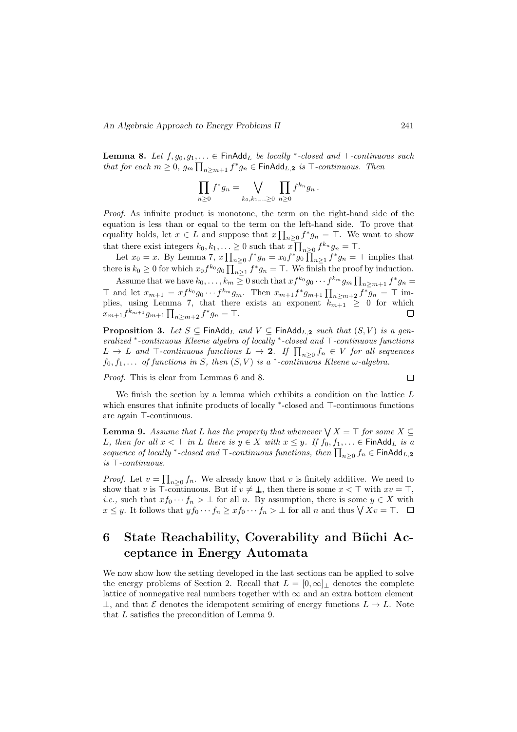**Lemma 8.** Let  $f, g_0, g_1, \ldots \in \text{FinAdd}_L$  be locally \*-closed and  $\top$ -continuous such that for each  $m \geq 0$ ,  $g_m \prod_{n \geq m+1} f^* g_n \in \text{FinAdd}_{L,2}$  is  $\top$ -continuous. Then

$$
\prod_{n\geq 0} f^*g_n = \bigvee_{k_0,k_1,\ldots\geq 0} \prod_{n\geq 0} f^{k_n}g_n.
$$

Proof. As infinite product is monotone, the term on the right-hand side of the equation is less than or equal to the term on the left-hand side. To prove that equality holds, let  $x \in L$  and suppose that  $x \prod_{n\geq 0} f^* g_n = \top$ . We want to show that there exist integers  $k_0, k_1, \ldots \ge 0$  such that  $x \prod_{n \ge 0} f^{k_n} g_n = \top$ .

Let  $x_0 = x$ . By Lemma 7,  $x \prod_{n \geq 0} f^* g_n = x_0 f^* g_0 \prod_{n \geq 1} f^* g_n = \top$  implies that there is  $k_0 \geq 0$  for which  $x_0 f^{k_0} g_0 \prod_{n \geq 1} f^* g_n = \top$ . We finish the proof by induction.

Assume that we have  $k_0, \ldots, k_m \geq 0$  such that  $xf^{k_0}g_0 \cdots f^{k_m}g_m \prod_{n \geq m+1} f^*g_n =$ ⊤ and let  $x_{m+1} = xf^{k_0}g_0 \cdots f^{k_m}g_m$ . Then  $x_{m+1}f^*g_{m+1} \prod_{n \ge m+2} f^*g_n = \top$  implies, using Lemma 7, that there exists an exponent  $k_{m+1} \geq 0$  for which  $x_{m+1}f^{k_{m+1}}g_{m+1}\prod_{n\geq m+2}f^*g_n = \top.$ Г

**Proposition 3.** Let  $S \subseteq \text{FinAdd}_{L}$  and  $V \subseteq \text{FinAdd}_{L,2}$  such that  $(S, V)$  is a gen $enalized *-continuous$  Kleene algebra of locally  $*$ -closed and  $\top$ -continuous functions  $L \rightarrow L$  and  $\top$ -continuous functions  $L \rightarrow 2$ . If  $\prod_{n\geq 0} f_n \in V$  for all sequences  $f_0, f_1, \ldots$  of functions in S, then  $(S, V)$  is a  $*$ -continuous Kleene  $\omega$ -algebra.

Proof. This is clear from Lemmas 6 and 8.

$$
\qquad \qquad \Box
$$

We finish the section by a lemma which exhibits a condition on the lattice  $L$ which ensures that infinite products of locally \*-closed and ⊤-continuous functions are again  $\top$ -continuous.

**Lemma 9.** Assume that L has the property that whenever  $\bigvee X = \top$  for some  $X \subseteq$ L, then for all  $x < \top$  in L there is  $y \in X$  with  $x \leq y$ . If  $f_0, f_1, \ldots \in \mathsf{FinAdd}_L$  is a sequence of locally \*-closed and  $\top$ -continuous functions, then  $\prod_{n\geq 0} f_n \in \mathsf{FinAdd}_{L,2}$ is  $\top$ -continuous.

*Proof.* Let  $v = \prod_{n\geq 0} f_n$ . We already know that v is finitely additive. We need to show that v is  $\top$ -continuous. But if  $v \neq \bot$ , then there is some  $x < \top$  with  $xv = \top$ , *i.e.*, such that  $xf_0 \cdots f_n > \bot$  for all *n*. By assumption, there is some  $y \in X$  with  $x \leq y$ . It follows that  $yf_0 \cdots f_n \geq xf_0 \cdots f_n > \bot$  for all n and thus  $\bigvee Xv = \top$ .

## 6 State Reachability, Coverability and Büchi Acceptance in Energy Automata

We now show how the setting developed in the last sections can be applied to solve the energy problems of Section 2. Recall that  $L = [0, \infty]_{\perp}$  denotes the complete lattice of nonnegative real numbers together with  $\infty$  and an extra bottom element  $\perp$ , and that E denotes the idempotent semiring of energy functions  $L \to L$ . Note that L satisfies the precondition of Lemma 9.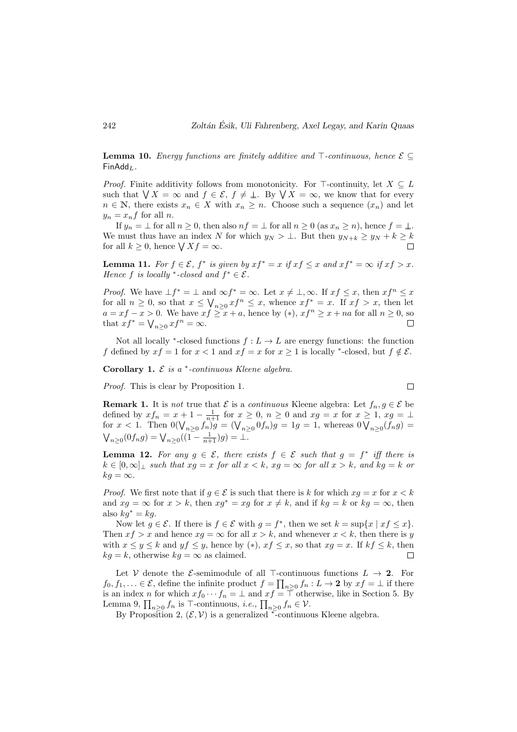**Lemma 10.** Energy functions are finitely additive and  $\top$ -continuous, hence  $\mathcal{E} \subseteq$  $FinAdd<sub>L</sub>$ .

*Proof.* Finite additivity follows from monotonicity. For  $\top$ -continuity, let  $X \subseteq L$ such that  $\bigvee X = \infty$  and  $f \in \mathcal{E}, f \neq \bot$ . By  $\bigvee X = \infty$ , we know that for every  $n \in \mathbb{N}$ , there exists  $x_n \in X$  with  $x_n \geq n$ . Choose such a sequence  $(x_n)$  and let  $y_n = x_n f$  for all n.

If  $y_n = \perp$  for all  $n \geq 0$ , then also  $nf = \perp$  for all  $n \geq 0$  (as  $x_n \geq n$ ), hence  $f = \perp$ . We must thus have an index N for which  $y_N > \bot$ . But then  $y_{N+k} \ge y_N + k \ge k$ for all  $k \geq 0$ , hence  $\bigvee X f = \infty$ .

**Lemma 11.** For  $f \in \mathcal{E}$ ,  $f^*$  is given by  $xf^* = x$  if  $xf \leq x$  and  $xf^* = \infty$  if  $xf > x$ . Hence f is locally \*-closed and  $f^* \in \mathcal{E}$ .

*Proof.* We have  $\bot f^* = \bot$  and  $\infty f^* = \infty$ . Let  $x \neq \bot, \infty$ . If  $xf \leq x$ , then  $xf^n \leq x$ for all  $n \geq 0$ , so that  $x \leq \bigvee_{n \geq 0} x f^n \leq x$ , whence  $xf^* = x$ . If  $xf > x$ , then let  $a = xf - x > 0$ . We have  $xf \geq x + a$ , hence by  $(*)$ ,  $xf^{n} \geq x + na$  for all  $n \geq 0$ , so that  $xf^* = \bigvee_{n \geq 0} xf^n = \infty$ . П

Not all locally <sup>\*</sup>-closed functions  $f: L \to L$  are energy functions: the function f defined by  $xf = 1$  for  $x < 1$  and  $xf = x$  for  $x \ge 1$  is locally \*-closed, but  $f \notin \mathcal{E}$ .

Corollary 1.  $\mathcal E$  is a  $*$ -continuous Kleene algebra.

Proof. This is clear by Proposition 1.

**Remark 1.** It is not true that  $\mathcal{E}$  is a continuous Kleene algebra: Let  $f_n, g \in \mathcal{E}$  be defined by  $xf_n = x + 1 - \frac{1}{n+1}$  for  $x \ge 0$ ,  $n \ge 0$  and  $xg = x$  for  $x \ge 1$ ,  $xg = \perp$ for  $x < 1$ . Then  $0(\bigvee_{n \geq 0} f_n)g = (\bigvee_{n \geq 0} 0f_n)g = 1g = 1$ , whereas  $0 \bigvee_{n \geq 0} (f_n g) =$  $\bigvee_{n\geq 0} (0f_ng) = \bigvee_{n\geq 0} ((1-\frac{1}{n+1})g) = \bot.$ 

**Lemma 12.** For any  $g \in \mathcal{E}$ , there exists  $f \in \mathcal{E}$  such that  $g = f^*$  iff there is  $k \in [0,\infty]$  such that  $xg = x$  for all  $x < k$ ,  $xg = \infty$  for all  $x > k$ , and  $kg = k$  or  $kq = \infty$ .

*Proof.* We first note that if  $g \in \mathcal{E}$  is such that there is k for which  $xa = x$  for  $x < k$ and  $xg = \infty$  for  $x > k$ , then  $xg^* = xg$  for  $x \neq k$ , and if  $kg = k$  or  $kg = \infty$ , then also  $kq^* = kq$ .

Now let  $g \in \mathcal{E}$ . If there is  $f \in \mathcal{E}$  with  $g = f^*$ , then we set  $k = \sup\{x \mid xf \leq x\}$ . Then  $xf > x$  and hence  $xg = \infty$  for all  $x > k$ , and whenever  $x < k$ , then there is y with  $x \le y \le k$  and  $yf \le y$ , hence by  $(*)$ ,  $xf \le x$ , so that  $xg = x$ . If  $kf \le k$ , then  $kg = k$ , otherwise  $kg = \infty$  as claimed. П

Let V denote the E-semimodule of all  $\top$ -continuous functions  $L \to 2$ . For  $f_0, f_1, \ldots \in \mathcal{E}$ , define the infinite product  $f = \prod_{n \geq 0} f_n : L \to \mathbf{2}$  by  $xf = \bot$  if there is an index n for which  $xf_0 \cdots f_n = \perp$  and  $xf = \top$  otherwise, like in Section 5. By Lemma 9,  $\prod_{n\geq 0} f_n$  is  $\top$ -continuous, *i.e.*,  $\prod_{n\geq 0} f_n \in \mathcal{V}$ .

By Proposition 2,  $(\mathcal{E}, \mathcal{V})$  is a generalized <sup>\*</sup>-continuous Kleene algebra.

$$
\Box
$$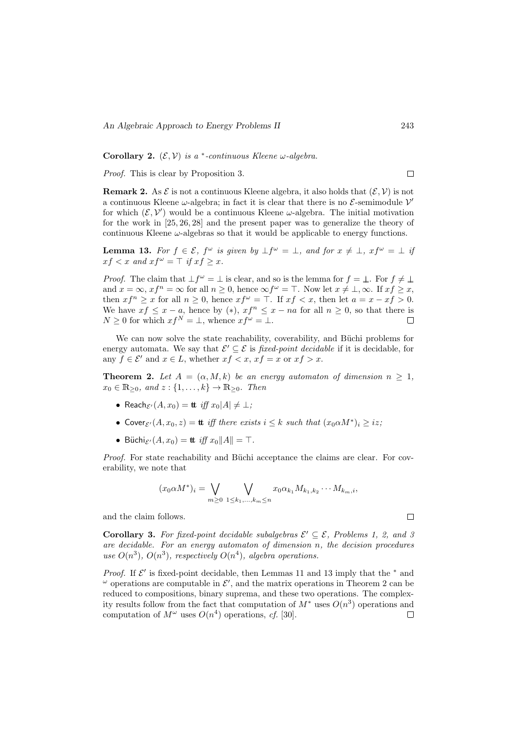Corollary 2.  $(\mathcal{E}, \mathcal{V})$  is a  $*$ -continuous Kleene  $\omega$ -algebra.

Proof. This is clear by Proposition 3.

**Remark 2.** As  $\mathcal{E}$  is not a continuous Kleene algebra, it also holds that  $(\mathcal{E}, \mathcal{V})$  is not a continuous Kleene  $\omega$ -algebra; in fact it is clear that there is no  $\mathcal{E}$ -semimodule  $\mathcal{V}'$ for which  $(\mathcal{E}, \mathcal{V}')$  would be a continuous Kleene  $\omega$ -algebra. The initial motivation for the work in [25, 26, 28] and the present paper was to generalize the theory of continuous Kleene  $\omega$ -algebras so that it would be applicable to energy functions.

**Lemma 13.** For  $f \in \mathcal{E}$ ,  $f^{\omega}$  is given by  $\bot f^{\omega} = \bot$ , and for  $x \neq \bot$ ,  $xf^{\omega} = \bot$  if  $xf < x$  and  $xf^{\omega} = \top$  if  $xf \geq x$ .

*Proof.* The claim that  $\bot f^{\omega} = \bot$  is clear, and so is the lemma for  $f = \bot$ . For  $f \neq \bot$ and  $x = \infty$ ,  $xf^n = \infty$  for all  $n \ge 0$ , hence  $\infty f^{\omega} = \top$ . Now let  $x \ne \bot, \infty$ . If  $xf \ge x$ , then  $xf^n \ge x$  for all  $n \ge 0$ , hence  $xf^\omega = \top$ . If  $xf < x$ , then let  $a = x - xf > 0$ . We have  $xf \leq x - a$ , hence by  $(*)$ ,  $xf^{n} \leq x - na$  for all  $n \geq 0$ , so that there is  $N \geq 0$  for which  $xf^N = \bot$ , whence  $xf^{\omega} = \bot$ .

We can now solve the state reachability, coverability, and Büchi problems for energy automata. We say that  $\mathcal{E}' \subseteq \mathcal{E}$  is *fixed-point decidable* if it is decidable, for any  $f \in \mathcal{E}'$  and  $x \in L$ , whether  $xf < x$ ,  $xf = x$  or  $xf > x$ .

**Theorem 2.** Let  $A = (\alpha, M, k)$  be an energy automaton of dimension  $n \geq 1$ ,  $x_0 \in \mathbb{R}_{\geq 0}$ , and  $z : \{1, \ldots, k\} \to \mathbb{R}_{\geq 0}$ . Then

- Reach $\varepsilon(A, x_0) =$  **tt** iff  $x_0|A| \neq \perp$ ;
- Cover $\varepsilon^j(A, x_0, z) = \mathbf{t}$  iff there exists  $i \leq k$  such that  $(x_0 \alpha M^*)_i \geq iz$ ;
- Büchi $\varepsilon(A, x_0) = \text{tt}$  iff  $x_0||A|| = \top$ .

*Proof.* For state reachability and Büchi acceptance the claims are clear. For coverability, we note that

$$
(x_0 \alpha M^*)_i = \bigvee_{m \geq 0} \bigvee_{1 \leq k_1, \dots, k_m \leq n} x_0 \alpha_{k_1} M_{k_1, k_2} \cdots M_{k_m, i},
$$

and the claim follows.

**Corollary 3.** For fixed-point decidable subalgebras  $\mathcal{E}' \subseteq \mathcal{E}$ , Problems 1, 2, and 5 are decidable. For an energy automaton of dimension n, the decision procedures use  $O(n^3)$ ,  $O(n^3)$ , respectively  $O(n^4)$ , algebra operations.

*Proof.* If  $\mathcal{E}'$  is fixed-point decidable, then Lemmas 11 and 13 imply that the  $*$  and  $\omega$  operations are computable in  $\mathcal{E}'$ , and the matrix operations in Theorem 2 can be reduced to compositions, binary suprema, and these two operations. The complexity results follow from the fact that computation of  $M^*$  uses  $O(n^3)$  operations and computation of  $M^{\omega}$  uses  $O(n^4)$  operations, cf. [30].  $\Box$ 

 $\Box$ 

 $\Box$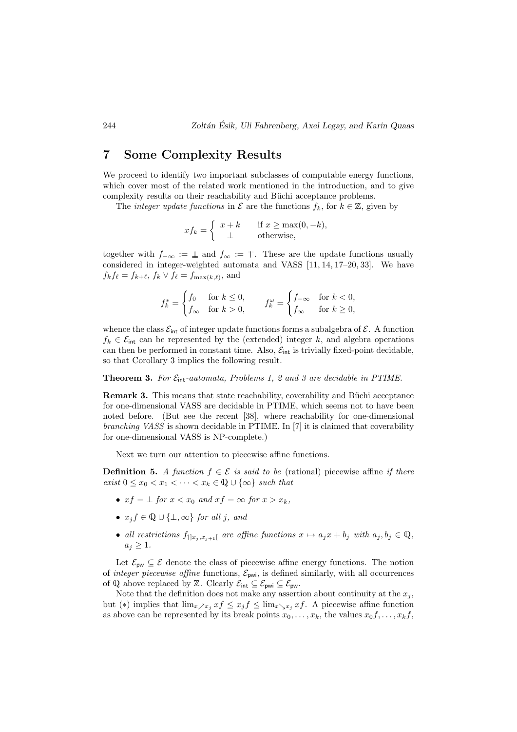### 7 Some Complexity Results

We proceed to identify two important subclasses of computable energy functions, which cover most of the related work mentioned in the introduction, and to give complexity results on their reachability and Büchi acceptance problems.

The *integer update functions* in  $\mathcal E$  are the functions  $f_k$ , for  $k \in \mathbb Z$ , given by

$$
xf_k = \begin{cases} x+k & \text{if } x \ge \max(0, -k), \\ \perp & \text{otherwise,} \end{cases}
$$

together with  $f_{-\infty} := \bot$  and  $f_{\infty} := \top$ . These are the update functions usually considered in integer-weighted automata and VASS [11, 14, 17–20, 33]. We have  $f_k f_\ell = f_{k+\ell}, f_k \vee f_\ell = f_{\max(k,\ell)}, \text{ and}$ 

$$
f_k^* = \begin{cases} f_0 & \text{for } k \le 0, \\ f_\infty & \text{for } k > 0, \end{cases} \qquad f_k^\omega = \begin{cases} f_{-\infty} & \text{for } k < 0, \\ f_\infty & \text{for } k \ge 0, \end{cases}
$$

whence the class  $\mathcal{E}_{int}$  of integer update functions forms a subalgebra of  $\mathcal{E}$ . A function  $f_k \in \mathcal{E}_{\text{int}}$  can be represented by the (extended) integer k, and algebra operations can then be performed in constant time. Also,  $\mathcal{E}_{int}$  is trivially fixed-point decidable, so that Corollary 3 implies the following result.

#### **Theorem 3.** For  $\mathcal{E}_{int}\text{-}automata$ , Problems 1, 2 and 3 are decidable in PTIME.

**Remark 3.** This means that state reachability, coverability and Büchi acceptance for one-dimensional VASS are decidable in PTIME, which seems not to have been noted before. (But see the recent [38], where reachability for one-dimensional branching VASS is shown decidable in PTIME. In [7] it is claimed that coverability for one-dimensional VASS is NP-complete.)

Next we turn our attention to piecewise affine functions.

**Definition 5.** A function  $f \in \mathcal{E}$  is said to be (rational) piecewise affine if there exist  $0 \leq x_0 \leq x_1 \leq \cdots \leq x_k \in \mathbb{Q} \cup \{\infty\}$  such that

- $xf = \bot$  for  $x < x_0$  and  $xf = \infty$  for  $x > x_k$ .
- $x_j f \in \mathbb{Q} \cup \{\perp, \infty\}$  for all j, and
- all restrictions  $f_{[x_i, x_{i+1}]}$  are affine functions  $x \mapsto a_j x + b_j$  with  $a_j, b_j \in \mathbb{Q}$ ,  $a_j \geq 1$ .

Let  $\mathcal{E}_{\text{pw}} \subseteq \mathcal{E}$  denote the class of piecewise affine energy functions. The notion of *integer piecewise affine* functions,  $\mathcal{E}_{\text{pwi}}$ , is defined similarly, with all occurrences of  $\mathbb Q$  above replaced by Z. Clearly  $\mathcal E_{int} \subseteq \mathcal E_{\text{pwi}} \subseteq \mathcal E_{\text{pw}}$ .

Note that the definition does not make any assertion about continuity at the  $x_i$ , but (\*) implies that  $\lim_{x \to x_j} x f \leq x_j f \leq \lim_{x \to x_j} x f$ . A piecewise affine function as above can be represented by its break points  $x_0, \ldots, x_k$ , the values  $x_0, \ldots, x_k$ ,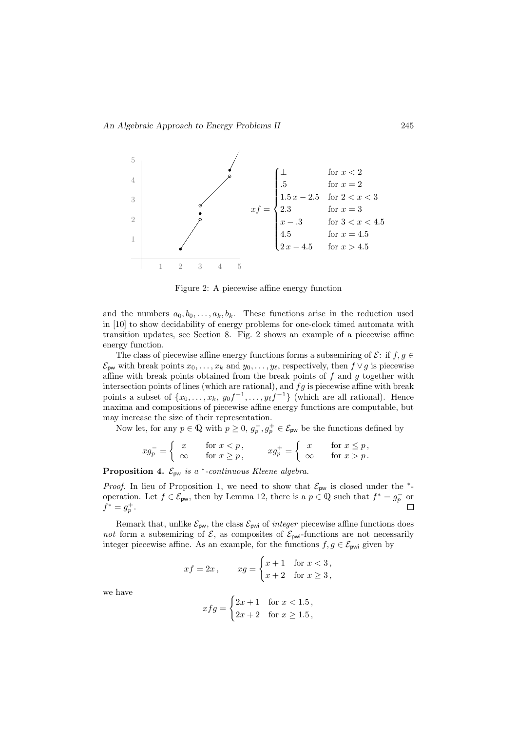

Figure 2: A piecewise affine energy function

and the numbers  $a_0, b_0, \ldots, a_k, b_k$ . These functions arise in the reduction used in [10] to show decidability of energy problems for one-clock timed automata with transition updates, see Section 8. Fig. 2 shows an example of a piecewise affine energy function.

The class of piecewise affine energy functions forms a subsemiring of  $\mathcal{E}$ : if  $f, g \in$  $\mathcal{E}_{\text{pw}}$  with break points  $x_0, \ldots, x_k$  and  $y_0, \ldots, y_\ell$ , respectively, then  $f \vee g$  is piecewise affine with break points obtained from the break points of  $f$  and  $g$  together with intersection points of lines (which are rational), and  $fg$  is piecewise affine with break points a subset of  $\{x_0, \ldots, x_k, y_0f^{-1}, \ldots, y_\ell f^{-1}\}$  (which are all rational). Hence maxima and compositions of piecewise affine energy functions are computable, but may increase the size of their representation.

Now let, for any  $p \in \mathbb{Q}$  with  $p \geq 0$ ,  $g_p^-, g_p^+ \in \mathcal{E}_{\text{pw}}$  be the functions defined by

$$
xg_p^- = \begin{cases} x & \text{for } x < p, \\ \infty & \text{for } x \ge p, \end{cases} \qquad xg_p^+ = \begin{cases} x & \text{for } x \le p, \\ \infty & \text{for } x > p. \end{cases}
$$

**Proposition 4.**  $\mathcal{E}_{\text{pw}}$  is a  $*$ -continuous Kleene algebra.

*Proof.* In lieu of Proposition 1, we need to show that  $\mathcal{E}_{pw}$  is closed under the <sup>\*</sup>operation. Let  $f \in \mathcal{E}_{\text{pw}}$ , then by Lemma 12, there is a  $p \in \mathbb{Q}$  such that  $f^* = g_p^-$  or  $f^* = g_p^+.$ 

Remark that, unlike  $\mathcal{E}_{\text{pw}}$ , the class  $\mathcal{E}_{\text{pwi}}$  of *integer* piecewise affine functions does not form a subsemiring of  $\mathcal{E}$ , as composites of  $\mathcal{E}_{\text{pwi}}$ -functions are not necessarily integer piecewise affine. As an example, for the functions  $f, g \in \mathcal{E}_{\text{pwi}}$  given by

$$
xf = 2x, \qquad xg = \begin{cases} x+1 & \text{for } x < 3, \\ x+2 & \text{for } x \ge 3, \end{cases}
$$

we have

$$
xfg = \begin{cases} 2x + 1 & \text{for } x < 1.5, \\ 2x + 2 & \text{for } x \ge 1.5, \end{cases}
$$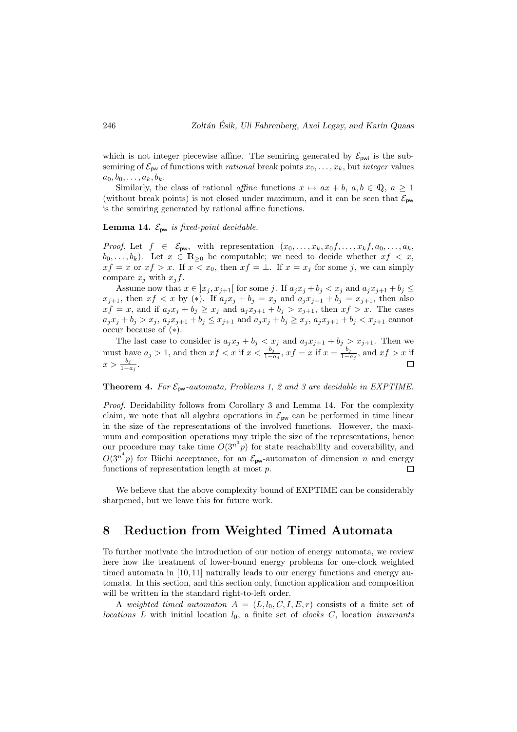which is not integer piecewise affine. The semiring generated by  $\mathcal{E}_{\text{pwi}}$  is the subsemiring of  $\mathcal{E}_{\text{pw}}$  of functions with *rational* break points  $x_0, \ldots, x_k$ , but *integer* values  $a_0, b_0, \ldots, a_k, b_k.$ 

Similarly, the class of rational affine functions  $x \mapsto ax + b, a, b \in \mathbb{Q}, a \ge 1$ (without break points) is not closed under maximum, and it can be seen that  $\mathcal{E}_{\text{pw}}$ is the semiring generated by rational affine functions.

#### **Lemma 14.**  $\mathcal{E}_{\text{pw}}$  is fixed-point decidable.

*Proof.* Let  $f \in \mathcal{E}_{pw}$ , with representation  $(x_0, \ldots, x_k, x_0, \ldots, x_k, x_0, \ldots, x_k, x_0, \ldots, x_k)$  $b_0, \ldots, b_k$ ). Let  $x \in \mathbb{R}_{\geq 0}$  be computable; we need to decide whether  $xf < x$ ,  $xf = x$  or  $xf > x$ . If  $x < x_0$ , then  $xf = \bot$ . If  $x = x_j$  for some j, we can simply compare  $x_j$  with  $x_j f$ .

Assume now that  $x \in [x_j, x_{j+1}]$  for some j. If  $a_j x_j + b_j < x_j$  and  $a_j x_{j+1} + b_j \leq$  $x_{j+1}$ , then  $xf < x$  by (\*). If  $a_jx_j + b_j = x_j$  and  $a_jx_{j+1} + b_j = x_{j+1}$ , then also  $xf = x$ , and if  $a_jx_j + b_j \geq x_j$  and  $a_jx_{j+1} + b_j > x_{j+1}$ , then  $xf > x$ . The cases  $a_jx_j+b_j>x_j,$   $a_jx_{j+1}+b_j\leq x_{j+1}$  and  $a_jx_j+b_j\geq x_j,$   $a_jx_{j+1}+b_j< x_{j+1}$  cannot occur because of (∗).

The last case to consider is  $a_j x_j + b_j < x_j$  and  $a_j x_{j+1} + b_j > x_{j+1}$ . Then we must have  $a_j > 1$ , and then  $xf < x$  if  $x < \frac{b_j}{1-a_j}$ ,  $xf = x$  if  $x = \frac{b_j}{1-a_j}$  $\frac{b_j}{1-a_j}$ , and  $xf > x$  if  $x > \frac{b_j}{1-a_j}.$ 

**Theorem 4.** For  $\mathcal{E}_{\text{pw}}$ -automata, Problems 1, 2 and 3 are decidable in EXPTIME.

Proof. Decidability follows from Corollary 3 and Lemma 14. For the complexity claim, we note that all algebra operations in  $\mathcal{E}_{\text{pw}}$  can be performed in time linear in the size of the representations of the involved functions. However, the maximum and composition operations may triple the size of the representations, hence our procedure may take time  $O(3^{n^3}p)$  for state reachability and coverability, and  $O(3^{n^4}p)$  for Büchi acceptance, for an  $\mathcal{E}_{\text{pw}}$ -automaton of dimension n and energy functions of representation length at most p.  $\Box$ 

We believe that the above complexity bound of EXPTIME can be considerably sharpened, but we leave this for future work.

### 8 Reduction from Weighted Timed Automata

To further motivate the introduction of our notion of energy automata, we review here how the treatment of lower-bound energy problems for one-clock weighted timed automata in [10, 11] naturally leads to our energy functions and energy automata. In this section, and this section only, function application and composition will be written in the standard right-to-left order.

A weighted timed automaton  $A = (L, l_0, C, I, E, r)$  consists of a finite set of locations L with initial location  $l_0$ , a finite set of clocks C, location invariants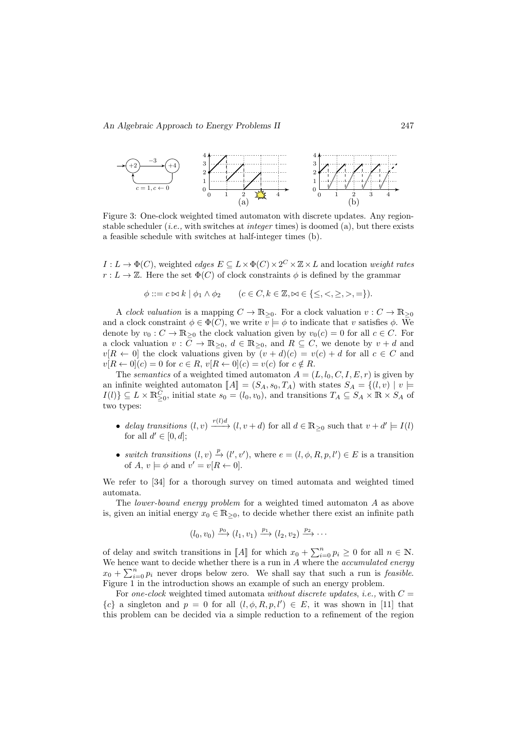

Figure 3: One-clock weighted timed automaton with discrete updates. Any regionstable scheduler (*i.e.*, with switches at *integer* times) is doomed (a), but there exists a feasible schedule with switches at half-integer times (b).

 $I: L \to \Phi(C)$ , weighted *edges*  $E \subseteq L \times \Phi(C) \times 2^C \times \mathbb{Z} \times L$  and location *weight rates*  $r: L \to \mathbb{Z}$ . Here the set  $\Phi(C)$  of clock constraints  $\phi$  is defined by the grammar

$$
\phi ::= c \bowtie k \mid \phi_1 \land \phi_2 \qquad (c \in C, k \in \mathbb{Z}, \bowtie \in \{\leq, <, \geq, >, =\}).
$$

A clock valuation is a mapping  $C \to \mathbb{R}_{\geq 0}$ . For a clock valuation  $v : C \to \mathbb{R}_{\geq 0}$ and a clock constraint  $\phi \in \Phi(C)$ , we write  $v \models \phi$  to indicate that v satisfies  $\phi$ . We denote by  $v_0 : C \to \mathbb{R}_{\geq 0}$  the clock valuation given by  $v_0(c) = 0$  for all  $c \in C$ . For a clock valuation  $v: C \to \mathbb{R}_{\geq 0}, d \in \mathbb{R}_{\geq 0}$ , and  $R \subseteq C$ , we denote by  $v + d$  and  $v[R \leftarrow 0]$  the clock valuations given by  $(v + d)(c) = v(c) + d$  for all  $c \in C$  and  $v[R \leftarrow 0](c) = 0$  for  $c \in R$ ,  $v[R \leftarrow 0](c) = v(c)$  for  $c \notin R$ .

The semantics of a weighted timed automaton  $A = (L, l_0, C, I, E, r)$  is given by an infinite weighted automaton  $\llbracket A \rrbracket = (S_A, s_0, T_A)$  with states  $S_A = \{(l, v) | v \models$  $I(l) \subseteq L \times \mathbb{R}_{\geq 0}^C$ , initial state  $s_0 = (l_0, v_0)$ , and transitions  $T_A \subseteq S_A \times \mathbb{R} \times S_A$  of two types:

- delay transitions  $(l, v) \xrightarrow{r(l)d} (l, v + d)$  for all  $d \in \mathbb{R}_{\geq 0}$  such that  $v + d' \models I(l)$ for all  $d' \in [0, d]$ ;
- switch transitions  $(l, v) \stackrel{p}{\to} (l', v')$ , where  $e = (l, \phi, R, p, l') \in E$  is a transition of  $A, v \models \phi$  and  $v' = v[R \leftarrow 0].$

We refer to [34] for a thorough survey on timed automata and weighted timed automata.

The lower-bound energy problem for a weighted timed automaton A as above is, given an initial energy  $x_0 \in \mathbb{R}_{\geq 0}$ , to decide whether there exist an infinite path

$$
(l_0, v_0) \xrightarrow{p_0} (l_1, v_1) \xrightarrow{p_1} (l_2, v_2) \xrightarrow{p_2} \cdots
$$

of delay and switch transitions in [A] for which  $x_0 + \sum_{i=0}^n p_i \ge 0$  for all  $n \in \mathbb{N}$ .<br>We have want to deside whether there is a run in A where the *seeimulated* energy We hence want to decide whether there is a run in  $A$  where the *accumulated energy*  $x_0 + \sum_{i=0}^n p_i$  never drops below zero. We shall say that such a run is *feasible*. Figure 1 in the introduction shows an example of such an energy problem.

For one-clock weighted timed automata without discrete updates, i.e., with  $C =$  ${c}$  a singleton and  $p = 0$  for all  $(l, \phi, R, p, l') \in E$ , it was shown in [11] that this problem can be decided via a simple reduction to a refinement of the region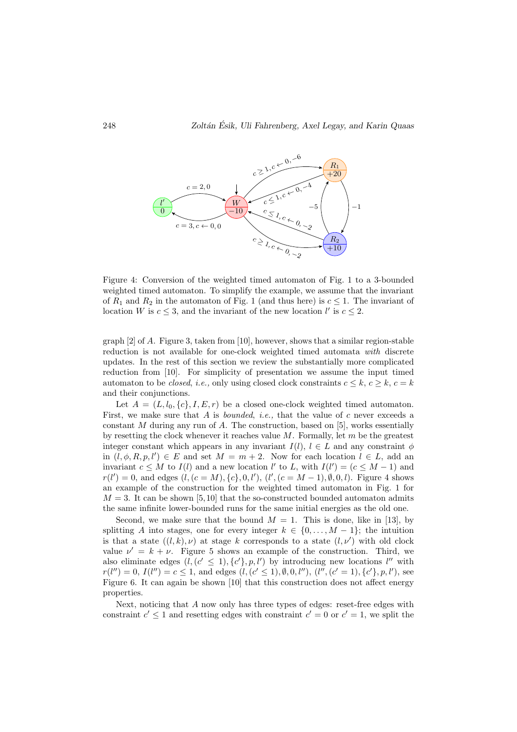

Figure 4: Conversion of the weighted timed automaton of Fig. 1 to a 3-bounded weighted timed automaton. To simplify the example, we assume that the invariant of  $R_1$  and  $R_2$  in the automaton of Fig. 1 (and thus here) is  $c \leq 1$ . The invariant of location W is  $c \leq 3$ , and the invariant of the new location  $l'$  is  $c \leq 2$ .

graph  $[2]$  of A. Figure 3, taken from  $[10]$ , however, shows that a similar region-stable reduction is not available for one-clock weighted timed automata with discrete updates. In the rest of this section we review the substantially more complicated reduction from [10]. For simplicity of presentation we assume the input timed automaton to be *closed*, *i.e.*, only using closed clock constraints  $c \leq k$ ,  $c \geq k$ ,  $c = k$ and their conjunctions.

Let  $A = (L, l_0, \{c\}, I, E, r)$  be a closed one-clock weighted timed automaton. First, we make sure that A is *bounded*, *i.e.*, that the value of c never exceeds a constant  $M$  during any run of  $A$ . The construction, based on [5], works essentially by resetting the clock whenever it reaches value  $M$ . Formally, let  $m$  be the greatest integer constant which appears in any invariant  $I(l)$ ,  $l \in L$  and any constraint  $\phi$ in  $(l, \phi, R, p, l') \in E$  and set  $M = m + 2$ . Now for each location  $l \in L$ , add an invariant  $c \leq M$  to  $I(l)$  and a new location l' to L, with  $I(l') = (c \leq M - 1)$  and  $r(l') = 0$ , and edges  $(l, (c = M), \{c\}, 0, l')$ ,  $(l', (c = M - 1), \emptyset, 0, l)$ . Figure 4 shows an example of the construction for the weighted timed automaton in Fig. 1 for  $M = 3$ . It can be shown [5,10] that the so-constructed bounded automaton admits the same infinite lower-bounded runs for the same initial energies as the old one.

Second, we make sure that the bound  $M = 1$ . This is done, like in [13], by splitting A into stages, one for every integer  $k \in \{0, \ldots, M-1\}$ ; the intuition is that a state  $((l, k), \nu)$  at stage k corresponds to a state  $(l, \nu')$  with old clock value  $\nu' = k + \nu$ . Figure 5 shows an example of the construction. Third, we also eliminate edges  $(l, (c' \leq 1), \{c'\}, p, l')$  by introducing new locations  $l''$  with  $r(l'') = 0, I(l'') = c \leq 1$ , and edges  $(l, (c' \leq 1), \emptyset, 0, l'')$ ,  $(l'', (c' = 1), \{c'\}, p, l')$ , see Figure 6. It can again be shown [10] that this construction does not affect energy properties.

Next, noticing that A now only has three types of edges: reset-free edges with constraint  $c' \leq 1$  and resetting edges with constraint  $c' = 0$  or  $c' = 1$ , we split the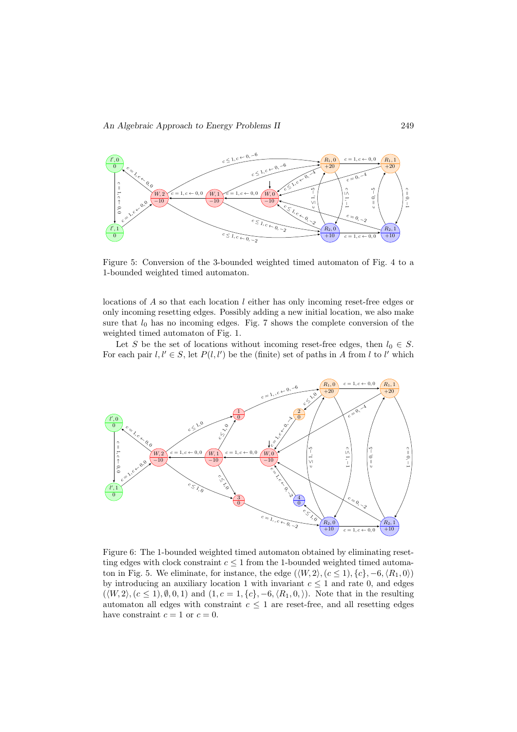

Figure 5: Conversion of the 3-bounded weighted timed automaton of Fig. 4 to a 1-bounded weighted timed automaton.

locations of A so that each location l either has only incoming reset-free edges or only incoming resetting edges. Possibly adding a new initial location, we also make sure that  $l_0$  has no incoming edges. Fig. 7 shows the complete conversion of the weighted timed automaton of Fig. 1.

Let S be the set of locations without incoming reset-free edges, then  $l_0 \in S$ . For each pair  $l, l' \in S$ , let  $P(l, l')$  be the (finite) set of paths in A from l to l' which



Figure 6: The 1-bounded weighted timed automaton obtained by eliminating resetting edges with clock constraint  $c \leq 1$  from the 1-bounded weighted timed automaton in Fig. 5. We eliminate, for instance, the edge  $(\langle W, 2 \rangle, (c \leq 1), \{c\}, -6, \langle R_1, 0 \rangle)$ by introducing an auxiliary location 1 with invariant  $c \leq 1$  and rate 0, and edges  $(\langle W, 2 \rangle, (c \le 1), \emptyset, 0, 1)$  and  $(1, c = 1, \{c\}, -6, \langle R_1, 0, \rangle)$ . Note that in the resulting automaton all edges with constraint  $c \leq 1$  are reset-free, and all resetting edges have constraint  $c = 1$  or  $c = 0$ .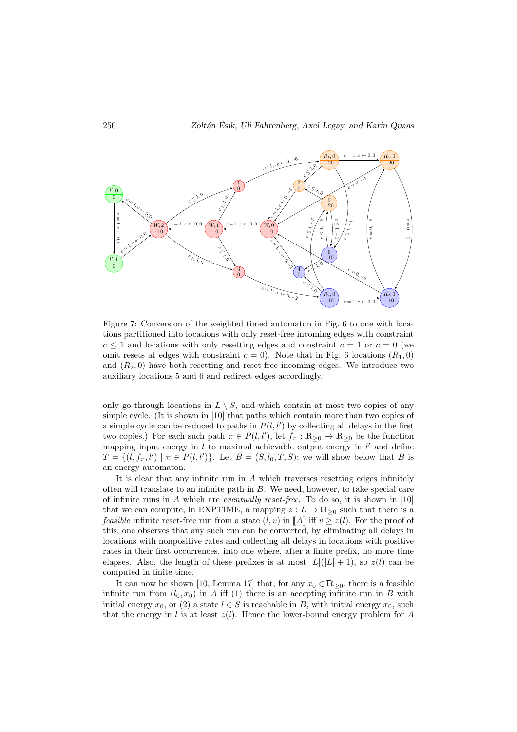

Figure 7: Conversion of the weighted timed automaton in Fig. 6 to one with locations partitioned into locations with only reset-free incoming edges with constraint  $c \leq 1$  and locations with only resetting edges and constraint  $c = 1$  or  $c = 0$  (we omit resets at edges with constraint  $c = 0$ ). Note that in Fig. 6 locations  $(R_1, 0)$ and  $(R_2, 0)$  have both resetting and reset-free incoming edges. We introduce two auxiliary locations 5 and 6 and redirect edges accordingly.

only go through locations in  $L \setminus S$ , and which contain at most two copies of any simple cycle. (It is shown in [10] that paths which contain more than two copies of a simple cycle can be reduced to paths in  $P(l, l')$  by collecting all delays in the first two copies.) For each such path  $\pi \in P(l, l')$ , let  $f_{\pi}: \mathbb{R}_{\geq 0} \to \mathbb{R}_{\geq 0}$  be the function mapping input energy in  $l$  to maximal achievable output energy in  $l'$  and define  $T = \{(l, f_{\pi}, l') \mid \pi \in P(l, l')\}.$  Let  $B = (S, l_0, T, S)$ ; we will show below that B is an energy automaton.

It is clear that any infinite run in A which traverses resetting edges infinitely often will translate to an infinite path in  $B$ . We need, however, to take special care of infinite runs in A which are *eventually reset-free*. To do so, it is shown in  $[10]$ that we can compute, in EXPTIME, a mapping  $z: L \to \mathbb{R}_{\geq 0}$  such that there is a *feasible* infinite reset-free run from a state  $(l, v)$  in  $\llbracket A \rrbracket$  iff  $v \geq z(l)$ . For the proof of this, one observes that any such run can be converted, by eliminating all delays in locations with nonpositive rates and collecting all delays in locations with positive rates in their first occurrences, into one where, after a finite prefix, no more time elapses. Also, the length of these prefixes is at most  $|L|(|L|+1)$ , so  $z(l)$  can be computed in finite time.

It can now be shown [10, Lemma 17] that, for any  $x_0 \in \mathbb{R}_{\geq 0}$ , there is a feasible infinite run from  $(l_0, x_0)$  in A iff (1) there is an accepting infinite run in B with initial energy  $x_0$ , or (2) a state  $l \in S$  is reachable in B, with initial energy  $x_0$ , such that the energy in l is at least  $z(l)$ . Hence the lower-bound energy problem for A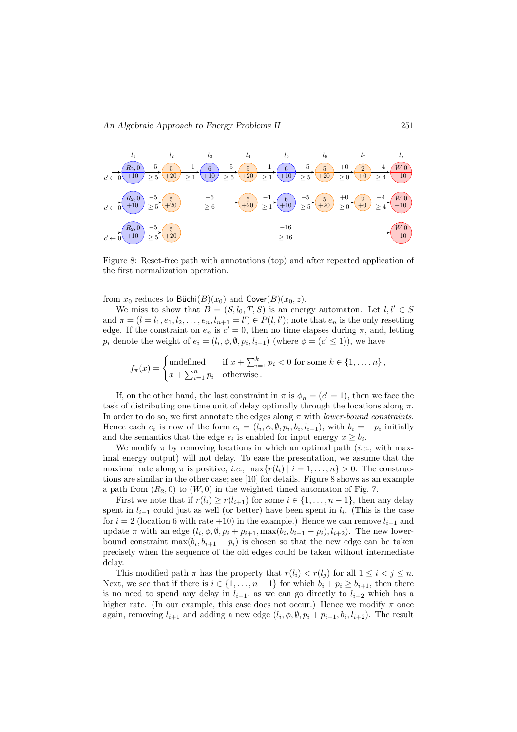

Figure 8: Reset-free path with annotations (top) and after repeated application of the first normalization operation.

from  $x_0$  reduces to Büchi $(B)(x_0)$  and Cover $(B)(x_0, z)$ .

We miss to show that  $B = (S, l_0, T, S)$  is an energy automaton. Let  $l, l' \in S$ and  $\pi = (l = l_1, e_1, l_2, \dots, e_n, l_{n+1} = l') \in P(l, l')$ ; note that  $e_n$  is the only resetting edge. If the constraint on  $e_n$  is  $c' = 0$ , then no time elapses during  $\pi$ , and, letting  $p_i$  denote the weight of  $e_i = (l_i, \phi, \emptyset, p_i, l_{i+1})$  (where  $\phi = (c' \le 1)$ ), we have

 $f_{\pi}(x) = \begin{cases} \text{undefined} & \text{if } x + \sum_{i=1}^{k} p_i < 0 \text{ for some } k \in \{1, \ldots, n\}, \\ \text{where } p_i = 0 \end{cases}$  $x + \sum_{i=1}^{n} p_i$  otherwise.

If, on the other hand, the last constraint in  $\pi$  is  $\phi_n = (c' = 1)$ , then we face the task of distributing one time unit of delay optimally through the locations along  $\pi$ . In order to do so, we first annotate the edges along  $\pi$  with *lower-bound constraints*. Hence each  $e_i$  is now of the form  $e_i = (l_i, \phi, \emptyset, p_i, b_i, l_{i+1}),$  with  $b_i = -p_i$  initially and the semantics that the edge  $e_i$  is enabled for input energy  $x \ge b_i$ .

We modify  $\pi$  by removing locations in which an optimal path (*i.e.*, with maximal energy output) will not delay. To ease the presentation, we assume that the maximal rate along  $\pi$  is positive, *i.e.*,  $\max\{r(l_i) | i = 1, ..., n\} > 0$ . The constructions are similar in the other case; see [10] for details. Figure 8 shows as an example a path from  $(R_2, 0)$  to  $(W, 0)$  in the weighted timed automaton of Fig. 7.

First we note that if  $r(l_i) \ge r(l_{i+1})$  for some  $i \in \{1, ..., n-1\}$ , then any delay spent in  $l_{i+1}$  could just as well (or better) have been spent in  $l_i$ . (This is the case for  $i = 2$  (location 6 with rate +10) in the example.) Hence we can remove  $l_{i+1}$  and update  $\pi$  with an edge  $(l_i, \phi, \emptyset, p_i + p_{i+1}, \max(b_i, b_{i+1} - p_i), l_{i+2})$ . The new lowerbound constraint  $\max(b_i, b_{i+1} - p_i)$  is chosen so that the new edge can be taken precisely when the sequence of the old edges could be taken without intermediate delay.

This modified path  $\pi$  has the property that  $r(l_i) < r(l_j)$  for all  $1 \leq i < j \leq n$ . Next, we see that if there is  $i \in \{1, \ldots, n-1\}$  for which  $b_i + p_i \geq b_{i+1}$ , then there is no need to spend any delay in  $l_{i+1}$ , as we can go directly to  $l_{i+2}$  which has a higher rate. (In our example, this case does not occur.) Hence we modify  $\pi$  once again, removing  $l_{i+1}$  and adding a new edge  $(l_i, \phi, \emptyset, p_i + p_{i+1}, b_i, l_{i+2})$ . The result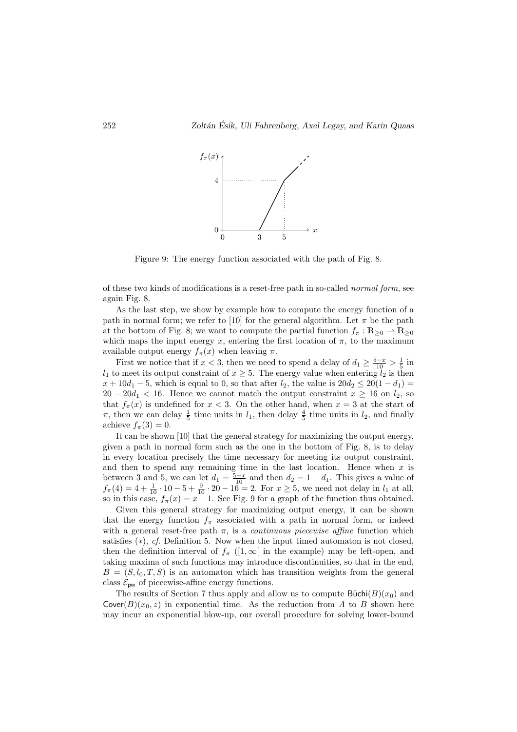

Figure 9: The energy function associated with the path of Fig. 8.

of these two kinds of modifications is a reset-free path in so-called normal form, see again Fig. 8.

As the last step, we show by example how to compute the energy function of a path in normal form; we refer to [10] for the general algorithm. Let  $\pi$  be the path at the bottom of Fig. 8; we want to compute the partial function  $f_{\pi}: \mathbb{R}_{\geq 0} \to \mathbb{R}_{\geq 0}$ which maps the input energy x, entering the first location of  $\pi$ , to the maximum available output energy  $f_{\pi}(x)$  when leaving  $\pi$ .

First we notice that if  $x < 3$ , then we need to spend a delay of  $d_1 \ge \frac{5-x}{10} > \frac{1}{5}$  in  $l_1$  to meet its output constraint of  $x \geq 5$ . The energy value when entering  $l_2$  is then  $x + 10d_1 - 5$ , which is equal to 0, so that after  $l_2$ , the value is  $20d_2 \le 20(1 - d_1)$  $20 - 20d_1 < 16$ . Hence we cannot match the output constraint  $x \ge 16$  on  $l_2$ , so that  $f_{\pi}(x)$  is undefined for  $x < 3$ . On the other hand, when  $x = 3$  at the start of  $\pi$ , then we can delay  $\frac{1}{5}$  time units in  $l_1$ , then delay  $\frac{4}{5}$  time units in  $l_2$ , and finally achieve  $f_{\pi}(3) = 0$ .

It can be shown [10] that the general strategy for maximizing the output energy, given a path in normal form such as the one in the bottom of Fig. 8, is to delay in every location precisely the time necessary for meeting its output constraint, and then to spend any remaining time in the last location. Hence when  $x$  is between 3 and 5, we can let  $d_1 = \frac{5-x}{10}$  and then  $d_2 = 1 - d_1$ . This gives a value of  $f_{\pi}(4) = 4 + \frac{1}{10} \cdot 10 - 5 + \frac{9}{10} \cdot 20 - 16 = 2$ . For  $x \ge 5$ , we need not delay in  $l_1$  at all, so in this case,  $f_{\pi}(x) = x - 1$ . See Fig. 9 for a graph of the function thus obtained.

Given this general strategy for maximizing output energy, it can be shown that the energy function  $f_{\pi}$  associated with a path in normal form, or indeed with a general reset-free path  $\pi$ , is a *continuous piecewise affine* function which satisfies  $(*), cf.$  Definition 5. Now when the input timed automaton is not closed, then the definition interval of  $f_{\pi}$  ([1,  $\infty$ [ in the example) may be left-open, and taking maxima of such functions may introduce discontinuities, so that in the end,  $B = (S, l_0, T, S)$  is an automaton which has transition weights from the general class  $\mathcal{E}_{\mathsf{pw}}$  of piecewise-affine energy functions.

The results of Section 7 thus apply and allow us to compute  $\text{Büchi}(B)(x_0)$  and  $Cover(B)(x_0, z)$  in exponential time. As the reduction from A to B shown here may incur an exponential blow-up, our overall procedure for solving lower-bound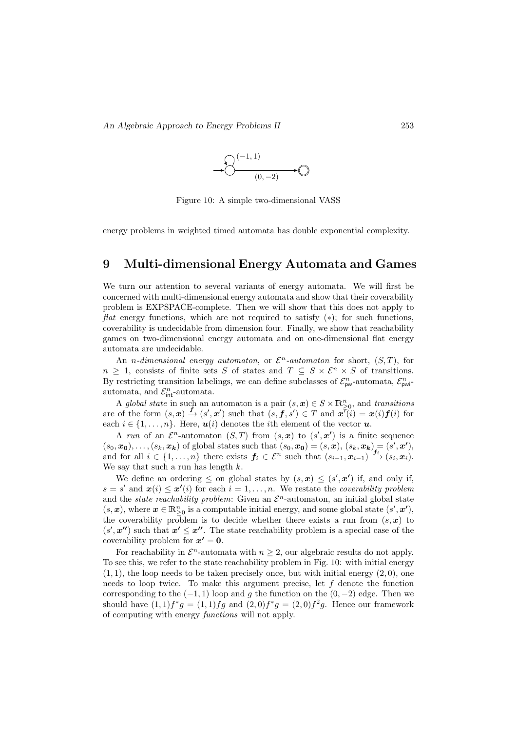

Figure 10: A simple two-dimensional VASS

energy problems in weighted timed automata has double exponential complexity.

### 9 Multi-dimensional Energy Automata and Games

We turn our attention to several variants of energy automata. We will first be concerned with multi-dimensional energy automata and show that their coverability problem is EXPSPACE-complete. Then we will show that this does not apply to flat energy functions, which are not required to satisfy  $(*)$ ; for such functions, coverability is undecidable from dimension four. Finally, we show that reachability games on two-dimensional energy automata and on one-dimensional flat energy automata are undecidable.

An *n*-dimensional energy automaton, or  $\mathcal{E}^n$ -automaton for short,  $(S, T)$ , for  $n \geq 1$ , consists of finite sets S of states and  $T \subseteq S \times \mathcal{E}^n \times S$  of transitions. By restricting transition labelings, we can define subclasses of  $\mathcal{E}_{pw}^n$ -automata,  $\mathcal{E}_{pwi}^n$ automata, and  $\mathcal{E}_{\text{int}}^n$ -automata.

A global state in such an automaton is a pair  $(s, x) \in S \times \mathbb{R}^n_{\geq 0}$ , and transitions are of the form  $(s, x) \stackrel{f}{\to} (s', x')$  such that  $(s, f, s') \in T$  and  $x \stackrel{\sim}{t}(i) = x(i) f(i)$  for each  $i \in \{1, \ldots, n\}$ . Here,  $u(i)$  denotes the *i*th element of the vector  $u$ .

A run of an  $\mathcal{E}^n$ -automaton  $(S,T)$  from  $(s,\mathbf{x})$  to  $(s',\mathbf{x'})$  is a finite sequence  $(s_0, x_0), \ldots, (s_k, x_k)$  of global states such that  $(s_0, x_0) = (s, x), (s_k, x_k) = (s', x'),$ and for all  $i \in \{1, \ldots, n\}$  there exists  $f_i \in \mathcal{E}^n$  such that  $(s_{i-1}, x_{i-1}) \xrightarrow{f_i} (s_i, x_i)$ . We say that such a run has length  $k$ .

We define an ordering  $\leq$  on global states by  $(s, x) \leq (s', x')$  if, and only if,  $s = s'$  and  $\mathbf{x}(i) \leq \mathbf{x}'(i)$  for each  $i = 1, \ldots, n$ . We restate the *coverability problem* and the *state reachability problem*: Given an  $\mathcal{E}^n$ -automaton, an initial global state  $(s, x)$ , where  $x \in \mathbb{R}_{\geq 0}^n$  is a computable initial energy, and some global state  $(s', x')$ , the coverability problem is to decide whether there exists a run from  $(s, x)$  to  $(s', \mathbf{z''})$  such that  $\mathbf{x'} \leq \mathbf{z''}$ . The state reachability problem is a special case of the coverability problem for  $x' = 0$ .

For reachability in  $\mathcal{E}^n$ -automata with  $n \geq 2$ , our algebraic results do not apply. To see this, we refer to the state reachability problem in Fig. 10: with initial energy  $(1, 1)$ , the loop needs to be taken precisely once, but with initial energy  $(2, 0)$ , one needs to loop twice. To make this argument precise, let  $f$  denote the function corresponding to the  $(-1, 1)$  loop and g the function on the  $(0, -2)$  edge. Then we should have  $(1,1)f^*g = (1,1)fg$  and  $(2,0)f^*g = (2,0)f^2g$ . Hence our framework of computing with energy functions will not apply.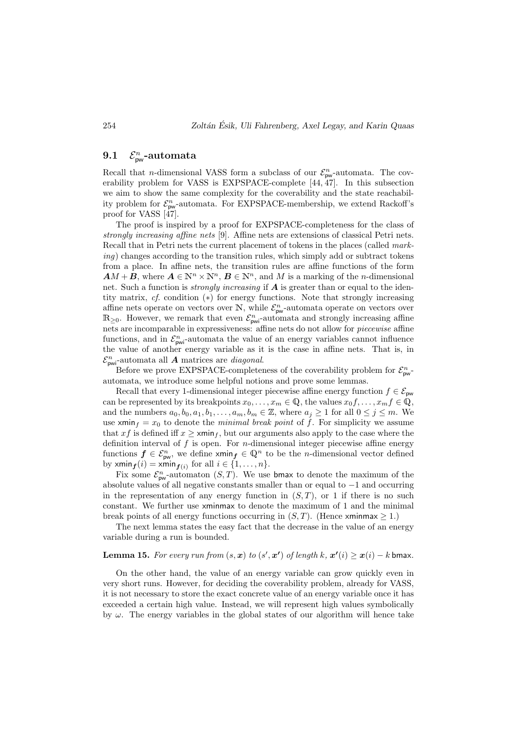#### **9.1**  $\int_{\sf pw}^n$ -automata

Recall that *n*-dimensional VASS form a subclass of our  $\mathcal{E}_{\text{pw}}^n$ -automata. The coverability problem for VASS is EXPSPACE-complete [44, 47]. In this subsection we aim to show the same complexity for the coverability and the state reachability problem for  $\mathcal{E}_{\text{pw}}^n$ -automata. For EXPSPACE-membership, we extend Rackoff's proof for VASS [47].

The proof is inspired by a proof for EXPSPACE-completeness for the class of strongly increasing affine nets [9]. Affine nets are extensions of classical Petri nets. Recall that in Petri nets the current placement of tokens in the places (called marking) changes according to the transition rules, which simply add or subtract tokens from a place. In affine nets, the transition rules are affine functions of the form  $AM + B$ , where  $A \in \mathbb{N}^n \times \mathbb{N}^n$ ,  $B \in \mathbb{N}^n$ , and M is a marking of the *n*-dimensional net. Such a function is *strongly increasing* if  $\boldsymbol{A}$  is greater than or equal to the identity matrix, cf. condition (∗) for energy functions. Note that strongly increasing affine nets operate on vectors over  $\mathbb{N}$ , while  $\mathcal{E}_{\text{pw}}^n$ -automata operate on vectors over  $\mathbb{R}_{\geq 0}$ . However, we remark that even  $\mathcal{E}_{\text{pwi}}^n$ -automata and strongly increasing affine nets are incomparable in expressiveness: affine nets do not allow for piecewise affine functions, and in  $\mathcal{E}_{\text{pwi}}^n$ -automata the value of an energy variables cannot influence the value of another energy variable as it is the case in affine nets. That is, in  $\mathcal{E}_{\text{pwi}}^n$ -automata all **A** matrices are *diagonal*.

Before we prove EXPSPACE-completeness of the coverability problem for  $\mathcal{E}_{\text{pw}}^n$ automata, we introduce some helpful notions and prove some lemmas.

Recall that every 1-dimensional integer piecewise affine energy function  $f \in \mathcal{E}_{\text{pw}}$ can be represented by its breakpoints  $x_0, \ldots, x_m \in \mathbb{Q}$ , the values  $x_0 f, \ldots, x_m f \in \mathbb{Q}$ , and the numbers  $a_0, b_0, a_1, b_1, \ldots, a_m, b_m \in \mathbb{Z}$ , where  $a_j \geq 1$  for all  $0 \leq j \leq m$ . We use xmin<sub>f</sub> =  $x_0$  to denote the *minimal break point* of f. For simplicity we assume that x f is defined iff  $x \geq \min_{f}$ , but our arguments also apply to the case where the definition interval of  $f$  is open. For *n*-dimensional integer piecewise affine energy functions  $f \in \mathcal{E}_{\text{pw}}^n$ , we define  $\text{xmin}_f \in \mathbb{Q}^n$  to be the *n*-dimensional vector defined by  $xmin_{f}(i) = xmin_{f(i)}$  for all  $i \in \{1, ..., n\}$ .

Fix some  $\mathcal{E}_{\text{pw}}^n$ -automaton  $(S, T)$ . We use bmax to denote the maximum of the absolute values of all negative constants smaller than or equal to −1 and occurring in the representation of any energy function in  $(S, T)$ , or 1 if there is no such constant. We further use xminmax to denote the maximum of 1 and the minimal break points of all energy functions occurring in  $(S, T)$ . (Hence xminmax  $\geq 1$ .)

The next lemma states the easy fact that the decrease in the value of an energy variable during a run is bounded.

### **Lemma 15.** For every run from  $(s, x)$  to  $(s', x')$  of length k,  $x'(i) \geq x(i) - k$  bmax.

On the other hand, the value of an energy variable can grow quickly even in very short runs. However, for deciding the coverability problem, already for VASS, it is not necessary to store the exact concrete value of an energy variable once it has exceeded a certain high value. Instead, we will represent high values symbolically by  $\omega$ . The energy variables in the global states of our algorithm will hence take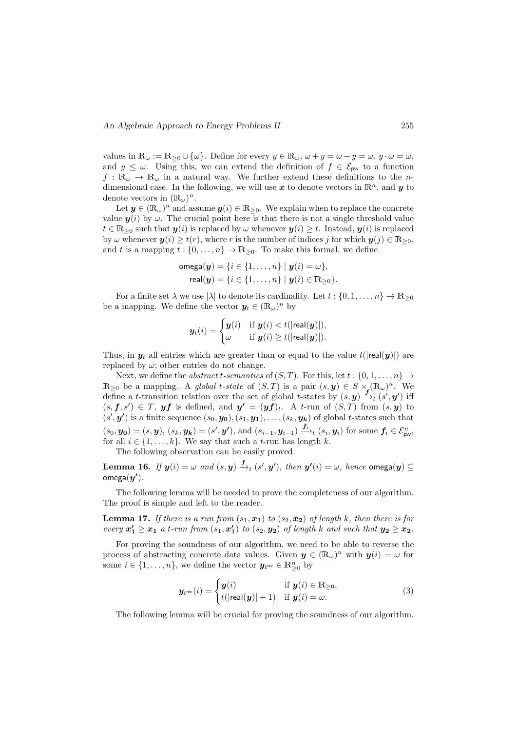values in  $\mathbb{R}_{\omega} := \mathbb{R}_{\geq 0} \cup \{\omega\}$ . Define for every  $y \in \mathbb{R}_{\omega}$ ,  $\omega + y = \omega - y = \omega$ ,  $y \cdot \omega = \omega$ , and  $y \leq \omega$ . Using this, we can extend the definition of  $f \in \mathcal{E}_{\text{pw}}$  to a function  $f : \mathbb{R}_{\omega} \to \mathbb{R}_{\omega}$  in a natural way. We further extend these definitions to the ndimensional case. In the following, we will use  $\boldsymbol{x}$  to denote vectors in  $\mathbb{R}^n$ , and  $\boldsymbol{y}$  to denote vectors in  $(\mathbb{R}_{\omega})^n$ .

Let  $y \in (\mathbb{R}_{\omega})^n$  and assume  $y(i) \in \mathbb{R}_{\geq 0}$ . We explain when to replace the concrete value  $y(i)$  by  $\omega$ . The crucial point here is that there is not a single threshold value  $t \in \mathbb{R}_{\geq 0}$  such that  $y(i)$  is replaced by  $\omega$  whenever  $y(i) \geq t$ . Instead,  $y(i)$  is replaced by  $\omega$  whenever  $y(i) \geq t(r)$ , where r is the number of indices j for which  $y(j) \in \mathbb{R}_{\geq 0}$ , and t is a mapping  $t : \{0, \ldots, n\} \to \mathbb{R}_{\geq 0}$ . To make this formal, we define

$$
\text{omega}(\mathbf{y}) = \{i \in \{1, ..., n\} \mid \mathbf{y}(i) = \omega\},
$$
  
\n
$$
\text{real}(\mathbf{y}) = \{i \in \{1, ..., n\} \mid \mathbf{y}(i) \in \mathbb{R}_{\geq 0}\}.
$$

For a finite set  $\lambda$  we use  $|\lambda|$  to denote its cardinality. Let  $t : \{0, 1, \ldots, n\} \to \mathbb{R}_{\geq 0}$ be a mapping. We define the vector  $y_t \in (\mathbb{R}_{\omega})^n$  by

$$
\boldsymbol{y}_t(i) = \begin{cases} \boldsymbol{y}(i) & \text{if } \boldsymbol{y}(i) < t(|\mathsf{real}(\boldsymbol{y})|), \\ \omega & \text{if } \boldsymbol{y}(i) \ge t(|\mathsf{real}(\boldsymbol{y})|). \end{cases}
$$

Thus, in  $y_t$  all entries which are greater than or equal to the value  $t(|real(y)|)$  are replaced by  $\omega$ ; other entries do not change.

Next, we define the *abstract t-semantics* of  $(S, T)$ . For this, let  $t : \{0, 1, \ldots, n\} \rightarrow$  $\mathbb{R}_{\geq 0}$  be a mapping. A global t-state of  $(S,T)$  is a pair  $(s, y) \in S \times_{\mathbb{R}} (\mathbb{R}_{\omega})^n$ . We define a *t*-transition relation over the set of global *t*-states by  $(s, y) \xrightarrow{f^{-1}(s', y')}$  iff  $(s, f, s') \in T$ , yf is defined, and  $y' = (y f)_t$ . A t-run of  $(S, T)$  from  $(s, y)$  to  $(s', y')$  is a finite sequence  $(s_0, y_0), (s_1, y_1), \ldots, (s_k, y_k)$  of global t-states such that  $(s_0, y_0) = (s, y), (s_k, y_k) = (s', y'), \text{ and } (s_{i-1}, y_{i-1}) \xrightarrow{f_i} (s_i, y_i) \text{ for some } f_i \in \mathcal{E}_{\text{pw}}^n,$ for all  $i \in \{1, \ldots, k\}$ . We say that such a t-run has length k.

The following observation can be easily proved.

Lemma 16. If  $y(i) = \omega$  and  $(s, y) \xrightarrow{f}_{t} (s', y'),$  then  $y'(i) = \omega$ , hence omega $(y) \subseteq$ omega $(y')$ .

The following lemma will be needed to prove the completeness of our algorithm. The proof is simple and left to the reader.

**Lemma 17.** If there is a run from  $(s_1, x_1)$  to  $(s_2, x_2)$  of length k, then there is for every  $x_1' \ge x_1$  a t-run from  $(s_1, x_1')$  to  $(s_2, y_2)$  of length k and such that  $y_2 \ge x_2$ .

For proving the soundness of our algorithm, we need to be able to reverse the process of abstracting concrete data values. Given  $y \in (\mathbb{R}_{\omega})^n$  with  $y(i) = \omega$  for some  $i \in \{1, \ldots, n\}$ , we define the vector  $y_{t^{rev}} \in \mathbb{R}_{\geq 0}^n$  by

$$
\boldsymbol{y}_{t^{\text{rev}}}(i) = \begin{cases} \boldsymbol{y}(i) & \text{if } \boldsymbol{y}(i) \in \mathbb{R}_{\geq 0}, \\ t(|\text{real}(\boldsymbol{y})|+1) & \text{if } \boldsymbol{y}(i) = \omega. \end{cases} \tag{3}
$$

The following lemma will be crucial for proving the soundness of our algorithm.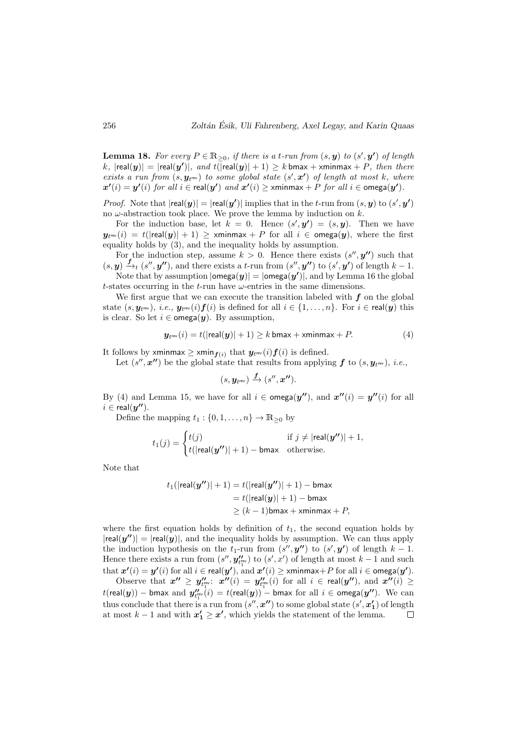**Lemma 18.** For every  $P \in \mathbb{R}_{\geq 0}$ , if there is a t-run from  $(s, y)$  to  $(s', y')$  of length  $(k,|\mathsf{real}(\bm{y})|=|\mathsf{real}(\bm{y'})|, \textit{ and } t(\overline{|\mathsf{real}(\bm{y})|+1})\geq k\,\mathsf{bmax}+\mathsf{xminmax}+P, \textit{ then there}$ exists a run from  $(s, y_{t^{rev}})$  to some global state  $(s', x')$  of length at most k, where  $\bm{x'}(i) = \bm{y'}(i)$  for all  $i \in \mathsf{real}(\bm{y'})$  and  $\bm{x'}(i) \geq \mathsf{xminmax} + P$  for all  $i \in \mathsf{omega}(\bm{y'})$ .

*Proof.* Note that  $|real(y)| = |real(y')|$  implies that in the t-run from  $(s, y)$  to  $(s', y')$ no  $\omega$ -abstraction took place. We prove the lemma by induction on  $k$ .

For the induction base, let  $k = 0$ . Hence  $(s', y') = (s, y)$ . Then we have  $\bm{y}_{t^\mathsf{rev}}(i)\,=\,t(|\mathsf{real}(\bm{y})|+1)\,\geq\, \mathsf{xminmax}+P$  for all  $i\,\in\, \mathsf{omega}(\bm{y}),\,$  where the first equality holds by (3), and the inequality holds by assumption.

For the induction step, assume  $k > 0$ . Hence there exists  $(s'', y'')$  such that  $(s, y) \xrightarrow{f} (s'', y'')$ , and there exists a t-run from  $(s'', y'')$  to  $(s', y')$  of length  $k - 1$ .

Note that by assumption  $|\textsf{omega}(y)| = |\textsf{omega}(y')|$ , and by Lemma 16 the global t-states occurring in the t-run have  $\omega$ -entries in the same dimensions.

We first argue that we can execute the transition labeled with  $f$  on the global state  $(s,\bm{y}_{t^\mathsf{rev}}),\ i.e.,\ \bm{y}_{t^\mathsf{rev}}(i)\bm{f}(i)$  is defined for all  $i\in\{1,\dots,n\}.$  For  $i\in\mathsf{real}(\bm{y})$  this is clear. So let  $i \in \text{omega}(y)$ . By assumption,

$$
\boldsymbol{y}_{t^{\text{rev}}}(i) = t(|\text{real}(\boldsymbol{y})| + 1) \ge k \text{ bmax} + \text{xminmax} + P. \tag{4}
$$

It follows by xminmax  $\geq$  xmin $_{\boldsymbol{f}(i)}$  that  $\boldsymbol{y}_{t^{\mathsf{rev}}}(i)\boldsymbol{f}(i)$  is defined.

Let  $(s'', x'')$  be the global state that results from applying f to  $(s, y_{t^{rev}})$ , *i.e.*,

$$
(s,\pmb{y}_{t^{\mathsf{rev}}}) \xrightarrow{\pmb{f}} (s'',\pmb{x''}).
$$

By (4) and Lemma 15, we have for all  $i \in \text{omega}(y'')$ , and  $x''(i) = y''(i)$  for all  $i \in \text{real}(\bm{y''}).$ 

Define the mapping  $t_1 : \{0, 1, \ldots, n\} \to \mathbb{R}_{\geq 0}$  by

$$
t_1(j) = \begin{cases} t(j) & \text{if } j \neq |\mathsf{real}(\mathbf{y''})| + 1, \\ t(|\mathsf{real}(\mathbf{y''})| + 1) - \mathsf{bmax} & \text{otherwise.} \end{cases}
$$

Note that

$$
t_1(|\mathsf{real}(y'')|+1) = t(|\mathsf{real}(y'')|+1) - \mathsf{bmax}
$$
  
=  $t(|\mathsf{real}(y)|+1) - \mathsf{bmax}$   
 $\geq (k-1)\mathsf{bmax} + \mathsf{xminmax} + P,$ 

where the first equation holds by definition of  $t<sub>1</sub>$ , the second equation holds by  $|real(y'')| = |real(y)|$ , and the inequality holds by assumption. We can thus apply the induction hypothesis on the  $t_1$ -run from  $(s'', y'')$  to  $(s', y')$  of length  $k-1$ . Hence there exists a run from  $(s'', y''_{t_1^{\text{rev}}})$  to  $(s', x')$  of length at most  $k - 1$  and such  $\mathrm{that}\ \pmb{x'}(i) = \pmb{y'}(i) \text{ for all } i \in \mathsf{real}(\pmb{y'}), \text{and } \pmb{x'}(i) \geq \textsf{xminmax} + P \text{ for all } i \in \mathsf{omega}(\pmb{y'}).$ 

Observe that  $x'' \geq y''_{t_1^{\text{rev}}}$ :  $x''(i) = y''_{t_1^{\text{rev}}}(i)$  for all  $i \in \text{real}(y'')$ , and  $x''(i) \geq$  $t(\mathsf{real}(\bm{y})) -$  bmax  $\text{and }\bm{y''_{t_1^\mathsf{rev}}}(i) = t(\mathsf{real}(\bm{y})) -$  bmax for  $\text{all } i \in \mathsf{omega}(\bm{y''}).$  We  $\text{can}$ thus conclude that there is a run from  $(s'', x'')$  to some global state  $(s', x'_1)$  of length at most  $k-1$  and with  $x'_1 \ge x'$ , which yields the statement of the lemma.  $\Box$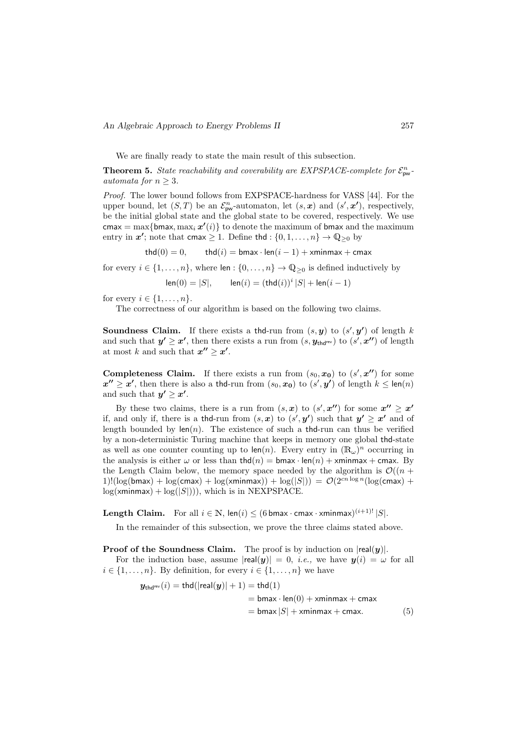We are finally ready to state the main result of this subsection.

**Theorem 5.** State reachability and coverability are EXPSPACE-complete for  $\mathcal{E}_{\text{pw}}^n$ . automata for  $n > 3$ .

Proof. The lower bound follows from EXPSPACE-hardness for VASS [44]. For the upper bound, let  $(S, T)$  be an  $\mathcal{E}_{\text{pw}}^n$ -automaton, let  $(s, x)$  and  $(s', x')$ , respectively, be the initial global state and the global state to be covered, respectively. We use cmax = max{bmax, max<sub>i</sub>  $x'(i)$ } to denote the maximum of bmax and the maximum entry in  $x'$ ; note that cmax  $\geq 1$ . Define thd :  $\{0, 1, \ldots, n\} \to \mathbb{Q}_{\geq 0}$  by

thd(0) = 0, thd(i) = bmax · len(i - 1) + xminmax + cmax

for every  $i \in \{1, ..., n\}$ , where len :  $\{0, ..., n\} \to \mathbb{Q}_{\geq 0}$  is defined inductively by

 $\text{len}(0) = |S|, \qquad \text{len}(i) = (\text{thd}(i))^i |S| + \text{len}(i - 1)$ 

for every  $i \in \{1, \ldots, n\}.$ 

The correctness of our algorithm is based on the following two claims.

**Soundness Claim.** If there exists a thd-run from  $(s, y)$  to  $(s', y')$  of length k and such that  $y' \geq x'$ , then there exists a run from  $(s, y_{\text{thd}^{\text{rev}}})$  to  $(s', x'')$  of length at most k and such that  $x'' \geq x'$ .

**Completeness Claim.** If there exists a run from  $(s_0, x_0)$  to  $(s', x'')$  for some  $x'' \ge x'$ , then there is also a thd-run from  $(s_0, x_0)$  to  $(s', y')$  of length  $k \le \text{len}(n)$ and such that  $y' \geq x'$ .

By these two claims, there is a run from  $(s, x)$  to  $(s', x'')$  for some  $x'' \geq x'$ if, and only if, there is a thd-run from  $(s, x)$  to  $(s', y')$  such that  $y' \geq x'$  and of length bounded by  $len(n)$ . The existence of such a thd-run can thus be verified by a non-deterministic Turing machine that keeps in memory one global thd-state as well as one counter counting up to  $\text{len}(n)$ . Every entry in  $(\mathbb{R}_{\omega})^n$  occurring in the analysis is either  $\omega$  or less than thd(n) = bmax · len(n) + xminmax + cmax. By the Length Claim below, the memory space needed by the algorithm is  $\mathcal{O}((n +$  $1!(\log(bmax) + \log(cmax) + \log(xminmax)) + \log(|S|)) = \mathcal{O}(2^{cn \log n}(\log(cmax)) +$  $log(xminmax) + log(|S|))$ , which is in NEXPSPACE.

**Length Claim.** For all  $i \in \mathbb{N}$ ,  $\text{len}(i) \leq (6 \text{ bmax} \cdot \text{cmax} \cdot \text{cminmax})^{(i+1)!} |S|$ .

In the remainder of this subsection, we prove the three claims stated above.

**Proof of the Soundness Claim.** The proof is by induction on  $|real(y)|$ .

For the induction base, assume  $|real(y)| = 0$ , *i.e.*, we have  $y(i) = \omega$  for all  $i \in \{1, \ldots, n\}$ . By definition, for every  $i \in \{1, \ldots, n\}$  we have

$$
\mathbf{y}_{\text{thd}^{\text{rev}}}(i) = \text{thd}(|\text{real}(\mathbf{y})| + 1) = \text{thd}(1)
$$
  
= bmax · len(0) + xminmax + cmax  
= bmax |S| + xminmax + cmax. (5)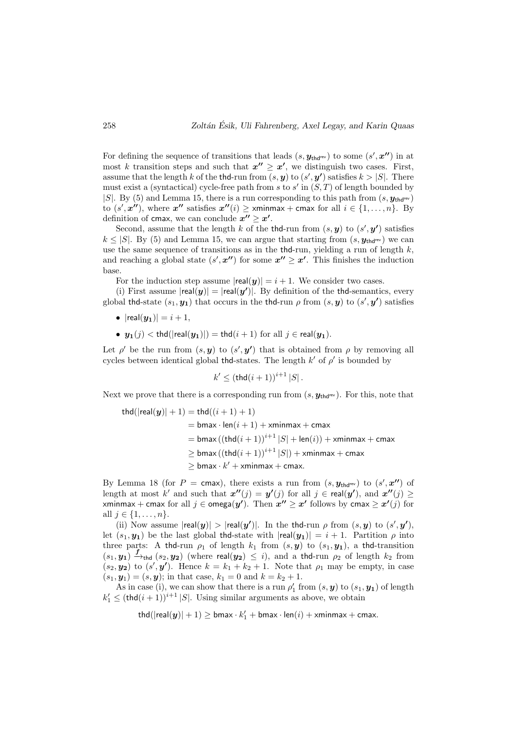For defining the sequence of transitions that leads  $(s, y_{thd}$ <sup>rev</sup>) to some  $(s', x'')$  in at most k transition steps and such that  $x'' \geq x'$ , we distinguish two cases. First, assume that the length k of the thd-run from  $(s, y)$  to  $(s', y')$  satisfies  $k > |S|$ . There must exist a (syntactical) cycle-free path from s to s' in  $(S, T)$  of length bounded by |S|. By (5) and Lemma 15, there is a run corresponding to this path from  $(s, y_{\text{thd}})$ to  $(s', x'')$ , where  $x''$  satisfies  $x''(i) \geq \min\max + \text{cmax}$  for all  $i \in \{1, \ldots, n\}$ . By definition of cmax, we can conclude  $x'' \geq x'$ .

Second, assume that the length k of the thd-run from  $(s, y)$  to  $(s', y')$  satisfies  $k \leq |S|$ . By (5) and Lemma 15, we can argue that starting from  $(s, y_{thd^{rev}})$  we can use the same sequence of transitions as in the thd-run, yielding a run of length  $k$ , and reaching a global state  $(s', \mathbf{x''})$  for some  $\mathbf{x''} \geq \mathbf{x'}$ . This finishes the induction base.

For the induction step assume  $|\text{real}(y)| = i + 1$ . We consider two cases.

(i) First assume  $|real(y)| = |real(y')|$ . By definition of the thd-semantics, every global thd-state  $(s_1, y_1)$  that occurs in the thd-run  $\rho$  from  $(s, y)$  to  $(s', y')$  satisfies

- $|real(y_1)| = i + 1,$
- $y_1(j) < thd(|real(y_1)|) = thd(i+1)$  for all  $j \in real(y_1)$ .

Let  $\rho'$  be the run from  $(s, y)$  to  $(s', y')$  that is obtained from  $\rho$  by removing all cycles between identical global thd-states. The length  $k'$  of  $\rho'$  is bounded by

 $k' \leq (\text{thd}(i+1))^{i+1} |S|$ .

Next we prove that there is a corresponding run from  $(s, y_{\text{thd}^{\text{rev}}})$ . For this, note that

$$
thd(|real(y)|+1) = thd((i+1)+1)
$$
\n
$$
= \text{bmax} \cdot \text{len}(i+1) + \text{xminmax} + \text{cmax}
$$
\n
$$
= \text{bmax} \left( (\text{thd}(i+1))^{i+1} |S| + \text{len}(i) \right) + \text{xminmax} + \text{cmax}
$$
\n
$$
\geq \text{bmax} \left( (\text{thd}(i+1))^{i+1} |S| \right) + \text{xminmax} + \text{cmax}
$$
\n
$$
\geq \text{bmax} \cdot k' + \text{xminmax} + \text{cmax}.
$$

By Lemma 18 (for  $P = \text{cmax}$ ), there exists a run from  $(s, y_{thd}$ <sup>rev</sup>) to  $(s', x'')$  of length at most k' and such that  $x''(j) = y'(j)$  for all  $j \in \text{real}(y')$ , and  $x''(j) \ge$ xminmax + cmax for all  $j \in \text{omega}(y')$ . Then  $x'' \geq x'$  follows by cmax  $\geq x'(j)$  for all  $j \in \{1, ..., n\}$ .

(ii) Now assume  $|real(y)| > |real(y')|$ . In the thd-run  $\rho$  from  $(s, y)$  to  $(s', y')$ , let  $(s_1, y_1)$  be the last global thd-state with  $|real(y_1)| = i + 1$ . Partition  $\rho$  into three parts: A thd-run  $\rho_1$  of length  $k_1$  from  $(s, y)$  to  $(s_1, y_1)$ , a thd-transition  $(s_1, y_1) \xrightarrow{f} f_{\text{thd}} (s_2, y_2)$  (where real( $y_2$ )  $\leq i$ ), and a thd-run  $\rho_2$  of length  $k_2$  from  $(s_2, y_2)$  to  $(s', y')$ . Hence  $k = k_1 + k_2 + 1$ . Note that  $\rho_1$  may be empty, in case  $(s_1, y_1) = (s, y)$ ; in that case,  $k_1 = 0$  and  $k = k_2 + 1$ .

As in case (i), we can show that there is a run  $\rho'_1$  from  $(s, y)$  to  $(s_1, y_1)$  of length  $k'_1 \leq (\text{thd}(i+1))^{i+1} |S|$ . Using similar arguments as above, we obtain

 $\text{thd}(|\text{real}(y)|+1) \geq \text{bmax} \cdot k_1' + \text{bmax} \cdot \text{len}(i) + \text{xminmax} + \text{cmax}.$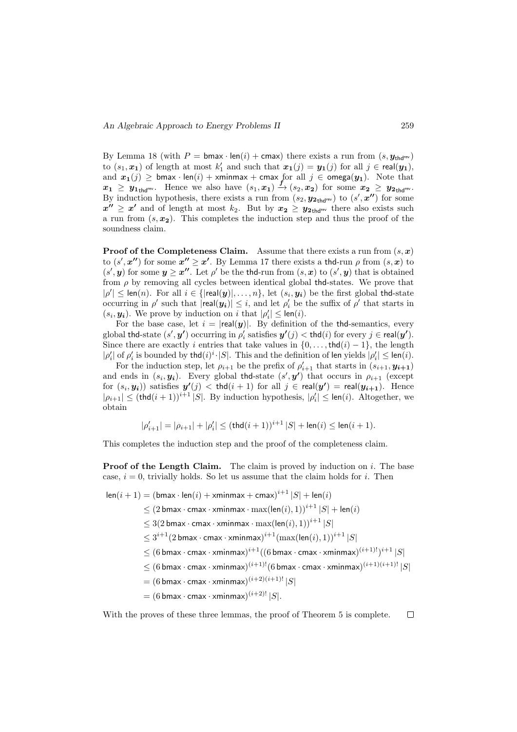By Lemma 18 (with  $P = \text{bmax} \cdot \text{len}(i) + \text{cmax}$ ) there exists a run from  $(s, y_{\text{thd}})$ to  $(s_1, x_1)$  of length at most  $k'_1$  and such that  $x_1(j) = y_1(j)$  for all  $j \in \text{real}(y_1)$ , and  $x_1(j) \geq b$  max · len(i) + xminmax + cmax for all  $j \in \text{omega}(y_1)$ . Note that  $x_1 \geq y_{1}$  Hence we also have  $(s_1, x_1) \stackrel{f}{\rightarrow} (s_2, x_2)$  for some  $x_2 \geq y_{2}$  Hence By induction hypothesis, there exists a run from  $(s_2, \mathbf{y}_{2},_{\text{thd}^{\text{rev}}})$  to  $(s', \mathbf{x''})$  for some  $x'' \geq x'$  and of length at most  $k_2$ . But by  $x_2 \geq y_{2}$ <sub>thdrev</sub> there also exists such a run from  $(s, x<sub>2</sub>)$ . This completes the induction step and thus the proof of the soundness claim.

**Proof of the Completeness Claim.** Assume that there exists a run from  $(s, x)$ to  $(s', x'')$  for some  $x'' \ge x'$ . By Lemma 17 there exists a thd-run  $\rho$  from  $(s, x)$  to  $(s', y)$  for some  $y \geq x''$ . Let  $\rho'$  be the thd-run from  $(s, x)$  to  $(s', y)$  that is obtained from  $\rho$  by removing all cycles between identical global the states. We prove that  $|\rho'| \leq \text{len}(n)$ . For all  $i \in \{|\text{real}(\mathbf{y})|, \ldots, n\}$ , let  $(s_i, \mathbf{y_i})$  be the first global thd-state occurring in  $\rho'$  such that  $|\text{real}(y_i)| \leq i$ , and let  $\rho'_i$  be the suffix of  $\rho'$  that starts in  $(s_i, y_i)$ . We prove by induction on i that  $|\rho'_i| \leq \text{len}(i)$ .

For the base case, let  $i = |real(y)|$ . By definition of the the-semantics, every global thd-state  $(s', y')$  occurring in  $\rho'_i$  satisfies  $y'(j) <$  thd $(i)$  for every  $j \in \mathsf{real}(y').$ Since there are exactly i entries that take values in  $\{0, \ldots, \text{thd}(i) - 1\}$ , the length  $|\rho'_i|$  of  $\rho'_i$  is bounded by thd $(i)^i \cdot |S|$ . This and the definition of len yields  $|\rho'_i| \leq \text{len}(i)$ .

For the induction step, let  $\rho_{i+1}$  be the prefix of  $\rho'_{i+1}$  that starts in  $(s_{i+1}, y_{i+1})$ and ends in  $(s_i, y_i)$ . Every global the state  $(s', y')$  that occurs in  $\rho_{i+1}$  (except for  $(s_i, y_i)$ ) satisfies  $y'(j) <$  thd $(i + 1)$  for all  $j \in \text{real}(y') = \text{real}(y_{i+1})$ . Hence  $|\rho_{i+1}| \leq (thd(i+1))^{i+1} |S|$ . By induction hypothesis,  $|\rho'_i| \leq len(i)$ . Altogether, we obtain

$$
|\rho_{i+1}'|=|\rho_{i+1}|+|\rho_i'|\leq (\operatorname{thd}(i+1))^{i+1}\left|S\right|+\operatorname{len}(i)\leq \operatorname{len}(i+1).
$$

This completes the induction step and the proof of the completeness claim.

**Proof of the Length Claim.** The claim is proved by induction on i. The base case,  $i = 0$ , trivially holds. So let us assume that the claim holds for i. Then

 $\mathsf{len}(i+1) = (\mathsf{bmax} \cdot \mathsf{len}(i) + \mathsf{xminmax} + \mathsf{cmax})^{i+1} |S| + \mathsf{len}(i)$  $\leq (2 \text{ bmax} \cdot \text{cmax} \cdot \text{xminmax} \cdot \text{max}(\text{len}(i), 1))^{i+1} |S| + \text{len}(i)$  $\leq 3(2 \text{ bmax} \cdot \text{cmax} \cdot \text{ xminmax} \cdot \text{max}( \text{len}(i), 1))^{i+1} |S|$  $\leq 3^{i+1}(2\,\mathsf{bmax}\cdot\mathsf{cmax}\cdot\mathsf{xminmax})^{i+1}(\max(\mathsf{len}(i),1))^{i+1}\,|S|$  $\leq (6\,$ bmax  $\cdot$  cmax  $\cdot$  xminmax) $^{i+1}((6\,$ bmax  $\cdot$  cmax  $\cdot$  xminmax) $^{(i+1)!})^{i+1}\,|S|$  $\leq (6\,$ bmax  $\cdot$  cmax  $\cdot$  xminmax $)^{(i+1)!} (6\,$ bmax  $\cdot$  cmax  $\cdot$  xminmax $)^{(i+1)(i+1)!} \, |S|$  $= (6$  bmax  $\cdot$  cmax  $\cdot$  xminmax $)^{(i+2)(i+1)!}$   $|S|$  $=(6\,\mathsf{bmax}\cdot\mathsf{cmax}\cdot\mathsf{xminmax})^{(i+2)!}\,|S|.$ 

With the proves of these three lemmas, the proof of Theorem 5 is complete. $\Box$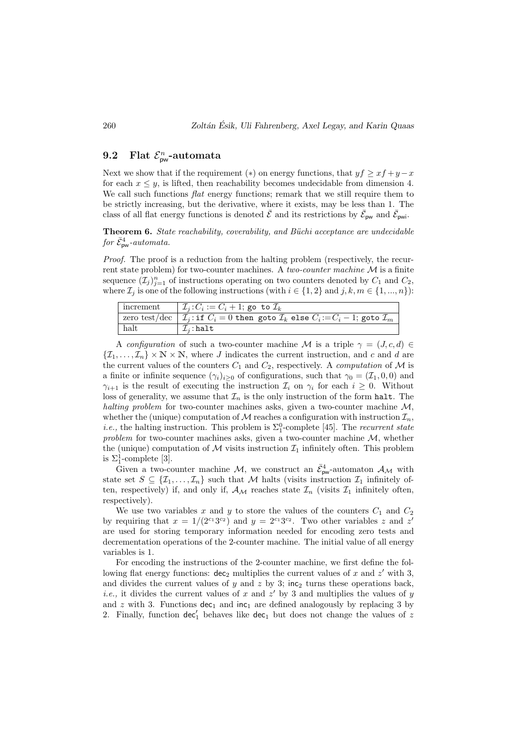## 9.2 Flat  $\mathcal{E}_{\text{pw}}^n$ -automata

Next we show that if the requirement (\*) on energy functions, that  $y f \geq x f + y - x$ for each  $x \leq y$ , is lifted, then reachability becomes undecidable from dimension 4. We call such functions *flat* energy functions; remark that we still require them to be strictly increasing, but the derivative, where it exists, may be less than 1. The class of all flat energy functions is denoted  $\bar{\mathcal{E}}$  and its restrictions by  $\bar{\mathcal{E}}_{\text{pw}}$  and  $\bar{\mathcal{E}}_{\text{pwi}}$ .

Theorem 6. State reachability, coverability, and Büchi acceptance are undecidable for  $\bar{\mathcal{E}}_{\text{pw}}^4$ -automata.

Proof. The proof is a reduction from the halting problem (respectively, the recurrent state problem) for two-counter machines. A *two-counter machine*  $M$  is a finite sequence  $(\mathcal{I}_j)_{j=1}^n$  of instructions operating on two counters denoted by  $C_1$  and  $C_2$ , where  $\mathcal{I}_i$  is one of the following instructions (with  $i \in \{1,2\}$  and  $j, k, m \in \{1, ..., n\}$ ):

| increment | $  \mathcal{I}_i : C_i := C_i + 1;$ go to $\mathcal{I}_k$                                                                |
|-----------|--------------------------------------------------------------------------------------------------------------------------|
|           | zero test/dec $\mid \mathcal{I}_i$ : if $C_i = 0$ then goto $\mathcal{I}_k$ else $C_i := C_i - 1$ ; goto $\mathcal{I}_m$ |
| halt      | $\mathcal{I}_i$ : halt                                                                                                   |

A configuration of such a two-counter machine M is a triple  $\gamma = (J, c, d) \in$  $\{\mathcal{I}_1,\ldots,\mathcal{I}_n\}\times\mathbb{N}\times\mathbb{N}$ , where J indicates the current instruction, and c and d are the current values of the counters  $C_1$  and  $C_2$ , respectively. A *computation* of M is a finite or infinite sequence  $(\gamma_i)_{i\geq 0}$  of configurations, such that  $\gamma_0 = (\mathcal{I}_1, 0, 0)$  and  $\gamma_{i+1}$  is the result of executing the instruction  $\mathcal{I}_i$  on  $\gamma_i$  for each  $i \geq 0$ . Without loss of generality, we assume that  $\mathcal{I}_n$  is the only instruction of the form halt. The halting problem for two-counter machines asks, given a two-counter machine  $\mathcal{M}$ . whether the (unique) computation of M reaches a configuration with instruction  $\mathcal{I}_n$ , *i.e.*, the halting instruction. This problem is  $\Sigma_1^0$ -complete [45]. The *recurrent state* problem for two-counter machines asks, given a two-counter machine  $M$ , whether the (unique) computation of M visits instruction  $\mathcal{I}_1$  infinitely often. This problem is  $\Sigma_1^1$ -complete [3].

Given a two-counter machine M, we construct an  $\bar{\mathcal{E}}_{pw}^4$ -automaton  $\mathcal{A}_{\mathcal{M}}$  with state set  $S \subseteq \{ \mathcal{I}_1, \ldots, \mathcal{I}_n \}$  such that M halts (visits instruction  $\mathcal{I}_1$  infinitely often, respectively) if, and only if,  $\mathcal{A}_{\mathcal{M}}$  reaches state  $\mathcal{I}_n$  (visits  $\mathcal{I}_1$  infinitely often, respectively).

We use two variables x and y to store the values of the counters  $C_1$  and  $C_2$ by requiring that  $x = 1/(2^{c_1}3^{c_2})$  and  $y = 2^{c_1}3^{c_2}$ . Two other variables z and z' are used for storing temporary information needed for encoding zero tests and decrementation operations of the 2-counter machine. The initial value of all energy variables is 1.

For encoding the instructions of the 2-counter machine, we first define the following flat energy functions:  $dec_2$  multiplies the current values of x and z' with 3, and divides the current values of y and z by 3;  $inc<sub>2</sub>$  turns these operations back, *i.e.*, it divides the current values of x and  $z'$  by 3 and multiplies the values of y and z with 3. Functions  $dec_1$  and  $inc_1$  are defined analogously by replacing 3 by 2. Finally, function  $dec'_1$  behaves like  $dec_1$  but does not change the values of z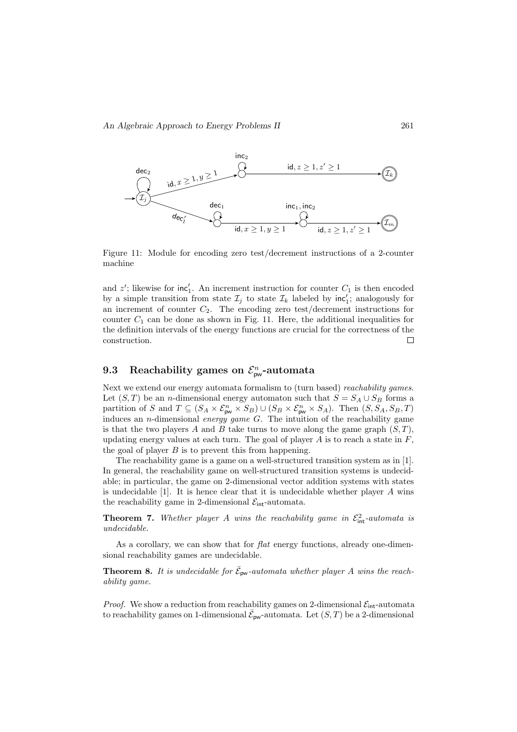

Figure 11: Module for encoding zero test/decrement instructions of a 2-counter machine

and  $z'$ ; likewise for  $\text{inc}'_1$ . An increment instruction for counter  $C_1$  is then encoded by a simple transition from state  $\mathcal{I}_j$  to state  $\mathcal{I}_k$  labeled by  $\text{inc}'_1$ ; analogously for an increment of counter  $C_2$ . The encoding zero test/decrement instructions for counter  $C_1$  can be done as shown in Fig. 11. Here, the additional inequalities for the definition intervals of the energy functions are crucial for the correctness of the construction.  $\Box$ 

## 9.3 Reachability games on  $\mathcal{E}_{\text{pw}}^n$ -automata

Next we extend our energy automata formalism to (turn based) reachability games. Let  $(S, T)$  be an *n*-dimensional energy automaton such that  $S = S_A \cup S_B$  forms a partition of S and  $T \subseteq (S_A \times \mathcal{E}_{\text{pw}}^n \times S_B) \cup (S_B \times \mathcal{E}_{\text{pw}}^n \times S_A)$ . Then  $(S, S_A, S_B, T)$ induces an *n*-dimensional energy game  $G$ . The intuition of the reachability game is that the two players A and B take turns to move along the game graph  $(S, T)$ . updating energy values at each turn. The goal of player  $A$  is to reach a state in  $F$ , the goal of player  $B$  is to prevent this from happening.

The reachability game is a game on a well-structured transition system as in [1]. In general, the reachability game on well-structured transition systems is undecidable; in particular, the game on 2-dimensional vector addition systems with states is undecidable  $[1]$ . It is hence clear that it is undecidable whether player A wins the reachability game in 2-dimensional  $\mathcal{E}_{\text{int}}$ -automata.

**Theorem 7.** Whether player A wins the reachability game in  $\mathcal{E}_{int}^2$ -automata is undecidable.

As a corollary, we can show that for flat energy functions, already one-dimensional reachability games are undecidable.

**Theorem 8.** It is undecidable for  $\bar{\mathcal{E}}_{\text{pw}}$ -automata whether player A wins the reachability game.

*Proof.* We show a reduction from reachability games on 2-dimensional  $\mathcal{E}_{int}$ -automata to reachability games on 1-dimensional  $\bar{\mathcal{E}}_{\mathsf{pw}}$ -automata. Let  $(S,T)$  be a 2-dimensional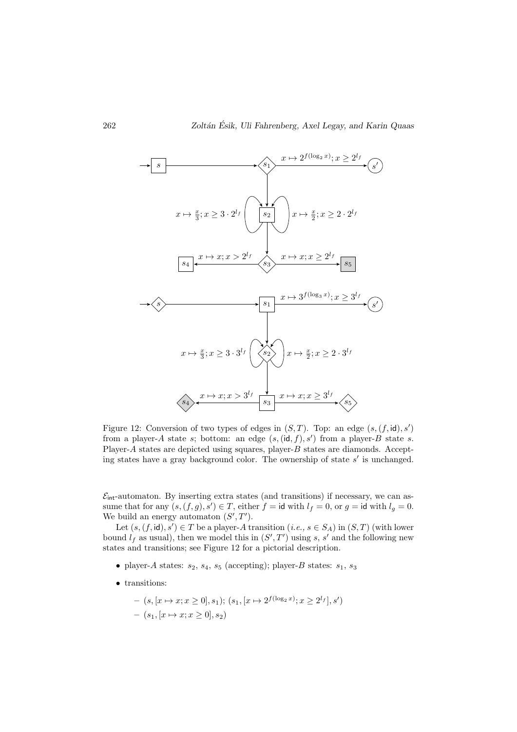

Figure 12: Conversion of two types of edges in  $(S, T)$ . Top: an edge  $(s, (f, id), s')$ from a player-A state s; bottom: an edge  $(s, (\text{id}, f), s')$  from a player-B state s. Player-A states are depicted using squares, player- $B$  states are diamonds. Accepting states have a gray background color. The ownership of state  $s'$  is unchanged.

 $\mathcal{E}_{\text{int}}$ -automaton. By inserting extra states (and transitions) if necessary, we can assume that for any  $(s, (f, g), s') \in T$ , either  $f = id$  with  $l_f = 0$ , or  $g = id$  with  $l_g = 0$ . We build an energy automaton  $(S', T')$ .

Let  $(s, (f, id), s') \in T$  be a player-A transition  $(i.e., s \in S_A)$  in  $(S, T)$  (with lower bound  $l_f$  as usual), then we model this in  $(S', T')$  using s, s' and the following new states and transitions; see Figure 12 for a pictorial description.

- player-A states:  $s_2$ ,  $s_4$ ,  $s_5$  (accepting); player-B states:  $s_1$ ,  $s_3$
- transitions:

$$
- (s, [x \mapsto x; x \ge 0], s_1); (s_1, [x \mapsto 2^{f(\log_2 x)}; x \ge 2^{l_f}], s')
$$
  
- (s\_1, [x \mapsto x; x \ge 0], s\_2)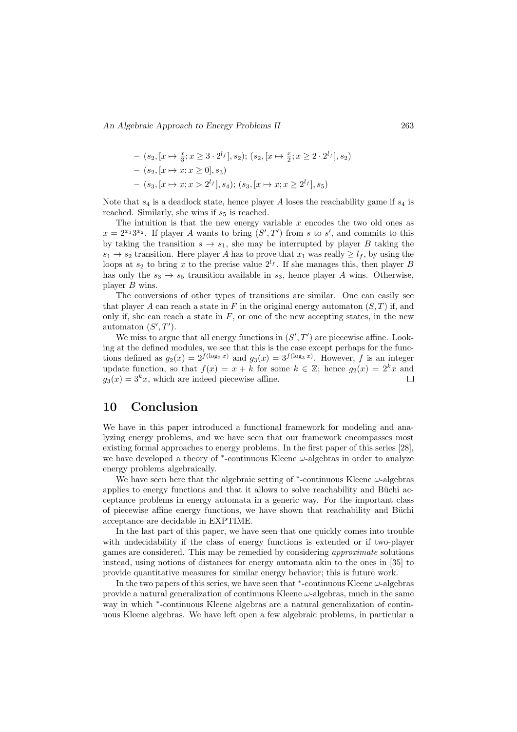An Algebraic Approach to Energy Problems II 263

$$
- (s_2, [x \mapsto \frac{x}{3}; x \ge 3 \cdot 2^{l_f}], s_2); (s_2, [x \mapsto \frac{x}{2}; x \ge 2 \cdot 2^{l_f}], s_2)
$$
  

$$
- (s_2, [x \mapsto x; x \ge 0], s_3)
$$
  

$$
- (s_3, [x \mapsto x; x > 2^{l_f}], s_4); (s_3, [x \mapsto x; x \ge 2^{l_f}], s_5)
$$

Note that  $s_4$  is a deadlock state, hence player A loses the reachability game if  $s_4$  is reached. Similarly, she wins if  $s<sub>5</sub>$  is reached.

The intuition is that the new energy variable  $x$  encodes the two old ones as  $x = 2^{x_1}3^{x_2}$ . If player A wants to bring  $(S', T')$  from s to s', and commits to this by taking the transition  $s \to s_1$ , she may be interrupted by player B taking the  $s_1 \rightarrow s_2$  transition. Here player A has to prove that  $x_1$  was really  $\geq l_f$ , by using the loops at  $s_2$  to bring x to the precise value  $2^{l_f}$ . If she manages this, then player B has only the  $s_3 \rightarrow s_5$  transition available in  $s_3$ , hence player A wins. Otherwise, player B wins.

The conversions of other types of transitions are similar. One can easily see that player A can reach a state in F in the original energy automaton  $(S, T)$  if, and only if, she can reach a state in  $F$ , or one of the new accepting states, in the new automaton  $(S', T')$ .

We miss to argue that all energy functions in  $(S', T')$  are piecewise affine. Looking at the defined modules, we see that this is the case except perhaps for the functions defined as  $g_2(x) = 2^{f(\log_2 x)}$  and  $g_3(x) = 3^{f(\log_3 x)}$ . However, f is an integer update function, so that  $f(x) = x + k$  for some  $k \in \mathbb{Z}$ ; hence  $g_2(x) = 2^k x$  and  $g_3(x) = 3^k x$ , which are indeed piecewise affine. Л

## 10 Conclusion

We have in this paper introduced a functional framework for modeling and analyzing energy problems, and we have seen that our framework encompasses most existing formal approaches to energy problems. In the first paper of this series [28], we have developed a theory of  $*$ -continuous Kleene  $\omega$ -algebras in order to analyze energy problems algebraically.

We have seen here that the algebraic setting of  $*$ -continuous Kleene  $\omega$ -algebras applies to energy functions and that it allows to solve reachability and Büchi acceptance problems in energy automata in a generic way. For the important class of piecewise affine energy functions, we have shown that reachability and Büchi acceptance are decidable in EXPTIME.

In the last part of this paper, we have seen that one quickly comes into trouble with undecidability if the class of energy functions is extended or if two-player games are considered. This may be remedied by considering approximate solutions instead, using notions of distances for energy automata akin to the ones in [35] to provide quantitative measures for similar energy behavior; this is future work.

In the two papers of this series, we have seen that  $*$ -continuous Kleene  $\omega$ -algebras provide a natural generalization of continuous Kleene  $\omega$ -algebras, much in the same way in which  $*$ -continuous Kleene algebras are a natural generalization of continuous Kleene algebras. We have left open a few algebraic problems, in particular a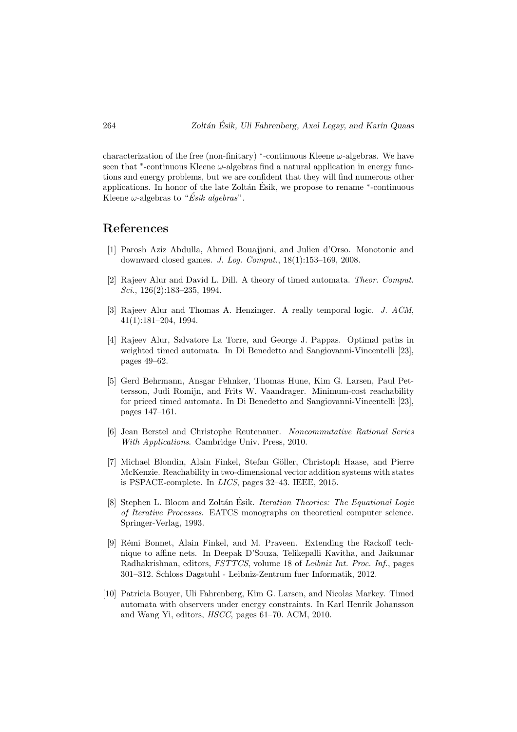characterization of the free (non-finitary) \*-continuous Kleene  $\omega$ -algebras. We have seen that  $*$ -continuous Kleene  $\omega$ -algebras find a natural application in energy functions and energy problems, but we are confident that they will find numerous other applications. In honor of the late Zoltán Ésik, we propose to rename \*-continuous Kleene  $\omega$ -algebras to "*Ésik algebras*".

## References

- [1] Parosh Aziz Abdulla, Ahmed Bouajjani, and Julien d'Orso. Monotonic and downward closed games. J. Log. Comput., 18(1):153–169, 2008.
- [2] Rajeev Alur and David L. Dill. A theory of timed automata. Theor. Comput. Sci., 126(2):183–235, 1994.
- [3] Rajeev Alur and Thomas A. Henzinger. A really temporal logic. J. ACM, 41(1):181–204, 1994.
- [4] Rajeev Alur, Salvatore La Torre, and George J. Pappas. Optimal paths in weighted timed automata. In Di Benedetto and Sangiovanni-Vincentelli [23], pages 49–62.
- [5] Gerd Behrmann, Ansgar Fehnker, Thomas Hune, Kim G. Larsen, Paul Pettersson, Judi Romijn, and Frits W. Vaandrager. Minimum-cost reachability for priced timed automata. In Di Benedetto and Sangiovanni-Vincentelli [23], pages 147–161.
- [6] Jean Berstel and Christophe Reutenauer. Noncommutative Rational Series With Applications. Cambridge Univ. Press, 2010.
- [7] Michael Blondin, Alain Finkel, Stefan Göller, Christoph Haase, and Pierre McKenzie. Reachability in two-dimensional vector addition systems with states is PSPACE-complete. In LICS, pages 32–43. IEEE, 2015.
- [8] Stephen L. Bloom and Zoltán Ésik. *Iteration Theories: The Equational Logic* of Iterative Processes. EATCS monographs on theoretical computer science. Springer-Verlag, 1993.
- [9] R´emi Bonnet, Alain Finkel, and M. Praveen. Extending the Rackoff technique to affine nets. In Deepak D'Souza, Telikepalli Kavitha, and Jaikumar Radhakrishnan, editors, FSTTCS, volume 18 of Leibniz Int. Proc. Inf., pages 301–312. Schloss Dagstuhl - Leibniz-Zentrum fuer Informatik, 2012.
- [10] Patricia Bouyer, Uli Fahrenberg, Kim G. Larsen, and Nicolas Markey. Timed automata with observers under energy constraints. In Karl Henrik Johansson and Wang Yi, editors, HSCC, pages 61–70. ACM, 2010.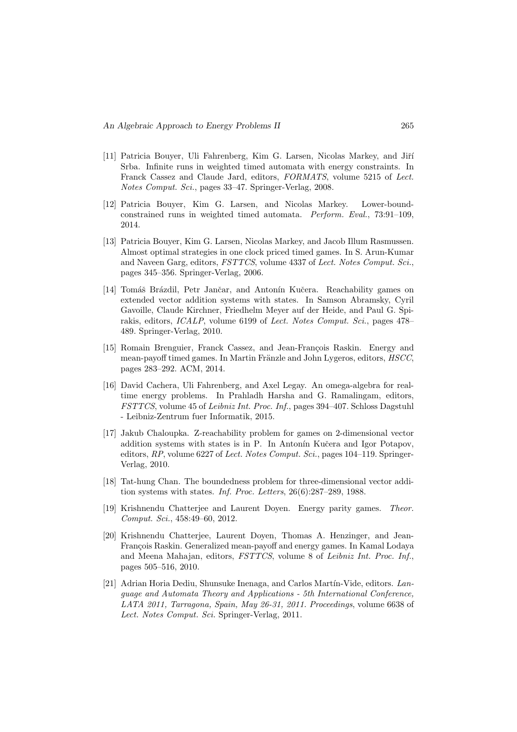- [11] Patricia Bouyer, Uli Fahrenberg, Kim G. Larsen, Nicolas Markey, and Jiří Srba. Infinite runs in weighted timed automata with energy constraints. In Franck Cassez and Claude Jard, editors, FORMATS, volume 5215 of Lect. Notes Comput. Sci., pages 33–47. Springer-Verlag, 2008.
- [12] Patricia Bouyer, Kim G. Larsen, and Nicolas Markey. Lower-boundconstrained runs in weighted timed automata. Perform. Eval., 73:91–109, 2014.
- [13] Patricia Bouyer, Kim G. Larsen, Nicolas Markey, and Jacob Illum Rasmussen. Almost optimal strategies in one clock priced timed games. In S. Arun-Kumar and Naveen Garg, editors, FSTTCS, volume 4337 of Lect. Notes Comput. Sci., pages 345–356. Springer-Verlag, 2006.
- [14] Tomáš Brázdil, Petr Jančar, and Antonín Kučera. Reachability games on extended vector addition systems with states. In Samson Abramsky, Cyril Gavoille, Claude Kirchner, Friedhelm Meyer auf der Heide, and Paul G. Spirakis, editors, ICALP, volume 6199 of Lect. Notes Comput. Sci., pages 478– 489. Springer-Verlag, 2010.
- [15] Romain Brenguier, Franck Cassez, and Jean-François Raskin. Energy and mean-payoff timed games. In Martin Fränzle and John Lygeros, editors, HSCC. pages 283–292. ACM, 2014.
- [16] David Cachera, Uli Fahrenberg, and Axel Legay. An omega-algebra for realtime energy problems. In Prahladh Harsha and G. Ramalingam, editors, FSTTCS, volume 45 of Leibniz Int. Proc. Inf., pages 394–407. Schloss Dagstuhl - Leibniz-Zentrum fuer Informatik, 2015.
- [17] Jakub Chaloupka. Z-reachability problem for games on 2-dimensional vector addition systems with states is in P. In Antonín Kučera and Igor Potapov, editors,  $RP$ , volume 6227 of Lect. Notes Comput. Sci., pages 104–119. Springer-Verlag, 2010.
- [18] Tat-hung Chan. The boundedness problem for three-dimensional vector addition systems with states. Inf. Proc. Letters, 26(6):287–289, 1988.
- [19] Krishnendu Chatterjee and Laurent Doyen. Energy parity games. Theor. Comput. Sci., 458:49–60, 2012.
- [20] Krishnendu Chatterjee, Laurent Doyen, Thomas A. Henzinger, and Jean-François Raskin. Generalized mean-payoff and energy games. In Kamal Lodaya and Meena Mahajan, editors, FSTTCS, volume 8 of Leibniz Int. Proc. Inf., pages 505–516, 2010.
- [21] Adrian Horia Dediu, Shunsuke Inenaga, and Carlos Martín-Vide, editors. Language and Automata Theory and Applications - 5th International Conference, LATA 2011, Tarragona, Spain, May 26-31, 2011. Proceedings, volume 6638 of Lect. Notes Comput. Sci. Springer-Verlag, 2011.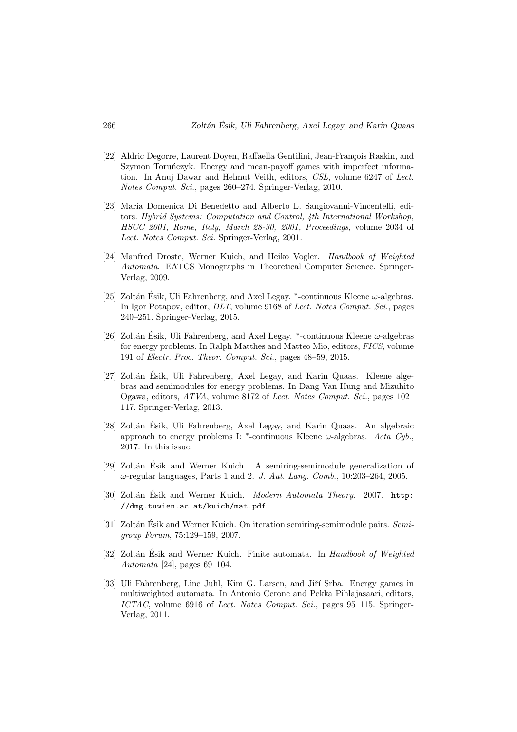- [22] Aldric Degorre, Laurent Doyen, Raffaella Gentilini, Jean-François Raskin, and Szymon Toruńczyk. Energy and mean-payoff games with imperfect information. In Anuj Dawar and Helmut Veith, editors, CSL, volume 6247 of Lect. Notes Comput. Sci., pages 260–274. Springer-Verlag, 2010.
- [23] Maria Domenica Di Benedetto and Alberto L. Sangiovanni-Vincentelli, editors. Hybrid Systems: Computation and Control, 4th International Workshop, HSCC 2001, Rome, Italy, March 28-30, 2001, Proceedings, volume 2034 of Lect. Notes Comput. Sci. Springer-Verlag, 2001.
- [24] Manfred Droste, Werner Kuich, and Heiko Vogler. Handbook of Weighted Automata. EATCS Monographs in Theoretical Computer Science. Springer-Verlag, 2009.
- [25] Zoltán Ésik, Uli Fahrenberg, and Axel Legay.  $*$ -continuous Kleene  $\omega$ -algebras. In Igor Potapov, editor, DLT, volume 9168 of Lect. Notes Comput. Sci., pages 240–251. Springer-Verlag, 2015.
- [26] Zoltán Ésik, Uli Fahrenberg, and Axel Legay.  $*$ -continuous Kleene  $\omega$ -algebras for energy problems. In Ralph Matthes and Matteo Mio, editors, FICS, volume 191 of Electr. Proc. Theor. Comput. Sci., pages 48–59, 2015.
- [27] Zoltán Ésik, Uli Fahrenberg, Axel Legay, and Karin Quaas. Kleene algebras and semimodules for energy problems. In Dang Van Hung and Mizuhito Ogawa, editors, ATVA, volume 8172 of Lect. Notes Comput. Sci., pages 102– 117. Springer-Verlag, 2013.
- [28] Zoltán Ésik, Uli Fahrenberg, Axel Legay, and Karin Quaas. An algebraic approach to energy problems I: \*-continuous Kleene  $\omega$ -algebras. Acta Cyb., 2017. In this issue.
- [29] Zoltán Ésik and Werner Kuich. A semiring-semimodule generalization of  $\omega$ -regular languages, Parts 1 and 2. J. Aut. Lang. Comb., 10:203-264, 2005.
- [30] Zoltán Ésik and Werner Kuich. *Modern Automata Theory.* 2007. http: //dmg.tuwien.ac.at/kuich/mat.pdf.
- [31] Zoltán Ésik and Werner Kuich. On iteration semiring-semimodule pairs. Semigroup Forum, 75:129–159, 2007.
- [32] Zoltán Ésik and Werner Kuich. Finite automata. In *Handbook of Weighted* Automata [24], pages 69–104.
- [33] Uli Fahrenberg, Line Juhl, Kim G. Larsen, and Jiří Srba. Energy games in multiweighted automata. In Antonio Cerone and Pekka Pihlajasaari, editors, ICTAC, volume 6916 of Lect. Notes Comput. Sci., pages 95–115. Springer-Verlag, 2011.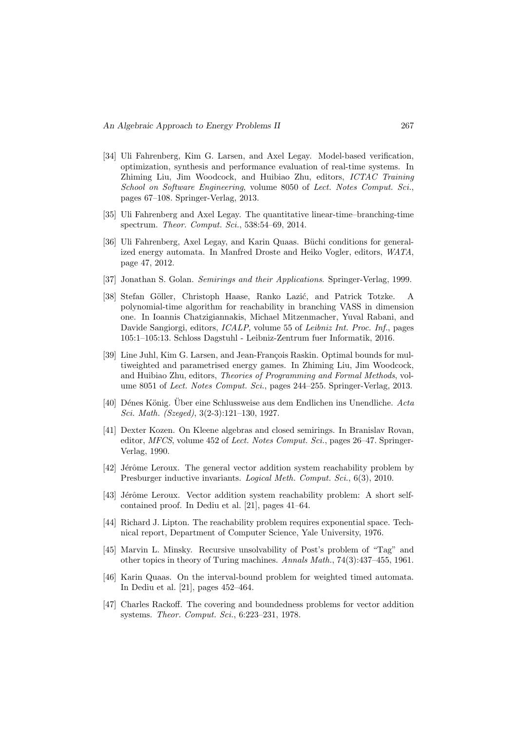- [34] Uli Fahrenberg, Kim G. Larsen, and Axel Legay. Model-based verification, optimization, synthesis and performance evaluation of real-time systems. In Zhiming Liu, Jim Woodcock, and Huibiao Zhu, editors, ICTAC Training School on Software Engineering, volume 8050 of Lect. Notes Comput. Sci., pages 67–108. Springer-Verlag, 2013.
- [35] Uli Fahrenberg and Axel Legay. The quantitative linear-time–branching-time spectrum. Theor. Comput. Sci., 538:54–69, 2014.
- [36] Uli Fahrenberg, Axel Legay, and Karin Quaas. Büchi conditions for generalized energy automata. In Manfred Droste and Heiko Vogler, editors, WATA, page 47, 2012.
- [37] Jonathan S. Golan. Semirings and their Applications. Springer-Verlag, 1999.
- [38] Stefan Göller, Christoph Haase, Ranko Lazić, and Patrick Totzke. A polynomial-time algorithm for reachability in branching VASS in dimension one. In Ioannis Chatzigiannakis, Michael Mitzenmacher, Yuval Rabani, and Davide Sangiorgi, editors, ICALP, volume 55 of Leibniz Int. Proc. Inf., pages 105:1–105:13. Schloss Dagstuhl - Leibniz-Zentrum fuer Informatik, 2016.
- [39] Line Juhl, Kim G. Larsen, and Jean-François Raskin. Optimal bounds for multiweighted and parametrised energy games. In Zhiming Liu, Jim Woodcock, and Huibiao Zhu, editors, Theories of Programming and Formal Methods, volume 8051 of Lect. Notes Comput. Sci., pages 244–255. Springer-Verlag, 2013.
- [40] Dénes König. Über eine Schlussweise aus dem Endlichen ins Unendliche. Acta Sci. Math. (Szeged), 3(2-3):121–130, 1927.
- [41] Dexter Kozen. On Kleene algebras and closed semirings. In Branislav Rovan, editor, MFCS, volume 452 of Lect. Notes Comput. Sci., pages 26–47. Springer-Verlag, 1990.
- [42] Jérôme Leroux. The general vector addition system reachability problem by Presburger inductive invariants. Logical Meth. Comput. Sci., 6(3), 2010.
- [43] Jérôme Leroux. Vector addition system reachability problem: A short selfcontained proof. In Dediu et al. [21], pages 41–64.
- [44] Richard J. Lipton. The reachability problem requires exponential space. Technical report, Department of Computer Science, Yale University, 1976.
- [45] Marvin L. Minsky. Recursive unsolvability of Post's problem of "Tag" and other topics in theory of Turing machines. Annals Math., 74(3):437–455, 1961.
- [46] Karin Quaas. On the interval-bound problem for weighted timed automata. In Dediu et al. [21], pages 452–464.
- [47] Charles Rackoff. The covering and boundedness problems for vector addition systems. Theor. Comput. Sci., 6:223–231, 1978.